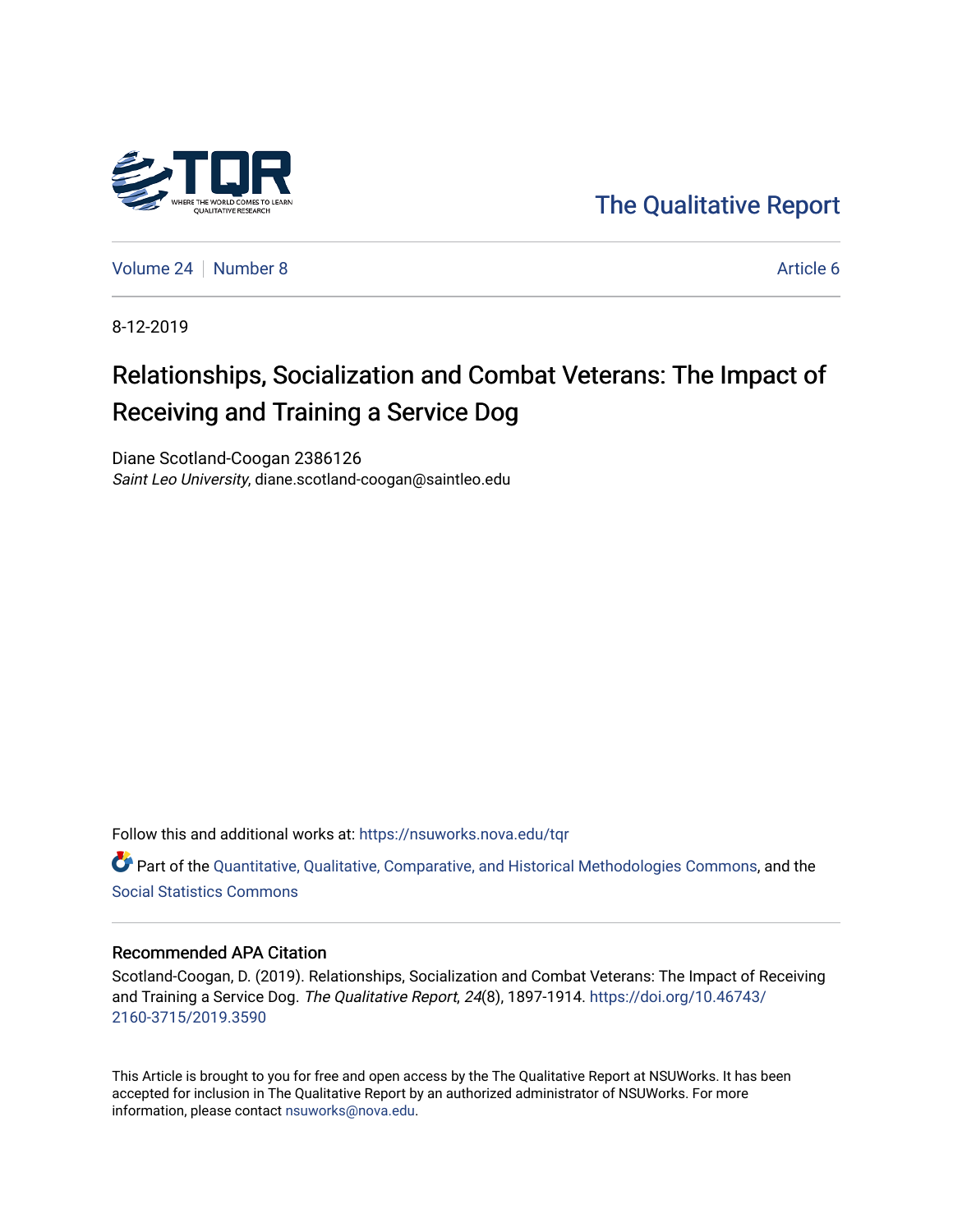

[The Qualitative Report](https://nsuworks.nova.edu/tqr) 

[Volume 24](https://nsuworks.nova.edu/tqr/vol24) [Number 8](https://nsuworks.nova.edu/tqr/vol24/iss8) Article 6

8-12-2019

# Relationships, Socialization and Combat Veterans: The Impact of Receiving and Training a Service Dog

Diane Scotland-Coogan 2386126 Saint Leo University, diane.scotland-coogan@saintleo.edu

Follow this and additional works at: [https://nsuworks.nova.edu/tqr](https://nsuworks.nova.edu/tqr?utm_source=nsuworks.nova.edu%2Ftqr%2Fvol24%2Fiss8%2F6&utm_medium=PDF&utm_campaign=PDFCoverPages) 

Part of the [Quantitative, Qualitative, Comparative, and Historical Methodologies Commons,](http://network.bepress.com/hgg/discipline/423?utm_source=nsuworks.nova.edu%2Ftqr%2Fvol24%2Fiss8%2F6&utm_medium=PDF&utm_campaign=PDFCoverPages) and the [Social Statistics Commons](http://network.bepress.com/hgg/discipline/1275?utm_source=nsuworks.nova.edu%2Ftqr%2Fvol24%2Fiss8%2F6&utm_medium=PDF&utm_campaign=PDFCoverPages) 

## Recommended APA Citation

Scotland-Coogan, D. (2019). Relationships, Socialization and Combat Veterans: The Impact of Receiving and Training a Service Dog. The Qualitative Report, 24(8), 1897-1914. [https://doi.org/10.46743/](https://doi.org/10.46743/2160-3715/2019.3590) [2160-3715/2019.3590](https://doi.org/10.46743/2160-3715/2019.3590)

This Article is brought to you for free and open access by the The Qualitative Report at NSUWorks. It has been accepted for inclusion in The Qualitative Report by an authorized administrator of NSUWorks. For more information, please contact [nsuworks@nova.edu.](mailto:nsuworks@nova.edu)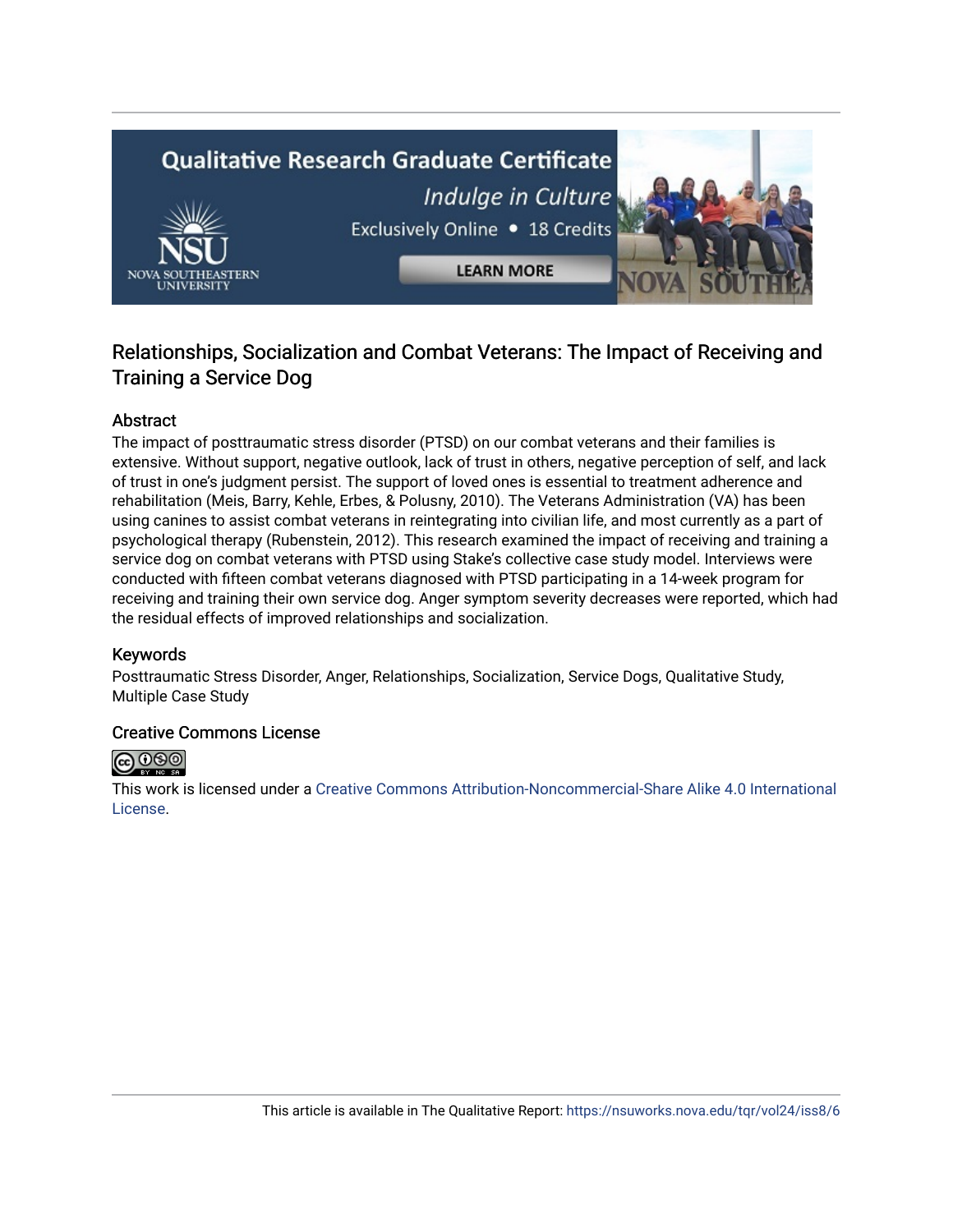# **Qualitative Research Graduate Certificate** Indulge in Culture Exclusively Online . 18 Credits **LEARN MORE**

# Relationships, Socialization and Combat Veterans: The Impact of Receiving and Training a Service Dog

# Abstract

The impact of posttraumatic stress disorder (PTSD) on our combat veterans and their families is extensive. Without support, negative outlook, lack of trust in others, negative perception of self, and lack of trust in one's judgment persist. The support of loved ones is essential to treatment adherence and rehabilitation (Meis, Barry, Kehle, Erbes, & Polusny, 2010). The Veterans Administration (VA) has been using canines to assist combat veterans in reintegrating into civilian life, and most currently as a part of psychological therapy (Rubenstein, 2012). This research examined the impact of receiving and training a service dog on combat veterans with PTSD using Stake's collective case study model. Interviews were conducted with fifteen combat veterans diagnosed with PTSD participating in a 14-week program for receiving and training their own service dog. Anger symptom severity decreases were reported, which had the residual effects of improved relationships and socialization.

# Keywords

Posttraumatic Stress Disorder, Anger, Relationships, Socialization, Service Dogs, Qualitative Study, Multiple Case Study

# Creative Commons License



This work is licensed under a [Creative Commons Attribution-Noncommercial-Share Alike 4.0 International](https://creativecommons.org/licenses/by-nc-sa/4.0/)  [License](https://creativecommons.org/licenses/by-nc-sa/4.0/).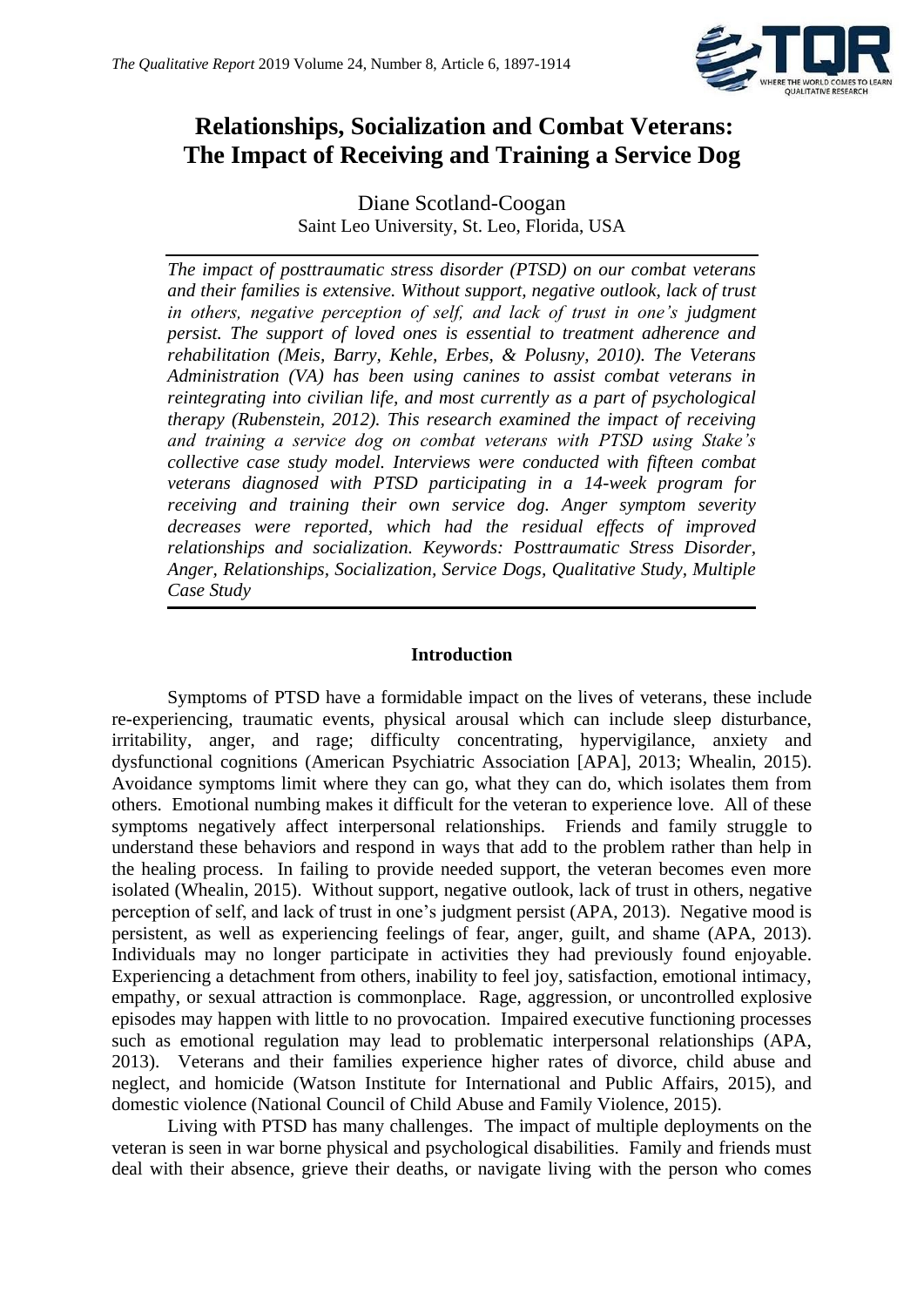

# **Relationships, Socialization and Combat Veterans: The Impact of Receiving and Training a Service Dog**

Diane Scotland-Coogan Saint Leo University, St. Leo, Florida, USA

*The impact of posttraumatic stress disorder (PTSD) on our combat veterans and their families is extensive. Without support, negative outlook, lack of trust in others, negative perception of self, and lack of trust in one's judgment persist. The support of loved ones is essential to treatment adherence and rehabilitation (Meis, Barry, Kehle, Erbes, & Polusny, 2010). The Veterans Administration (VA) has been using canines to assist combat veterans in reintegrating into civilian life, and most currently as a part of psychological therapy (Rubenstein, 2012). This research examined the impact of receiving and training a service dog on combat veterans with PTSD using Stake's collective case study model. Interviews were conducted with fifteen combat veterans diagnosed with PTSD participating in a 14-week program for receiving and training their own service dog. Anger symptom severity decreases were reported, which had the residual effects of improved relationships and socialization. Keywords: Posttraumatic Stress Disorder, Anger, Relationships, Socialization, Service Dogs, Qualitative Study, Multiple Case Study*

# **Introduction**

Symptoms of PTSD have a formidable impact on the lives of veterans, these include re-experiencing, traumatic events, physical arousal which can include sleep disturbance, irritability, anger, and rage; difficulty concentrating, hypervigilance, anxiety and dysfunctional cognitions (American Psychiatric Association [APA], 2013; Whealin, 2015). Avoidance symptoms limit where they can go, what they can do, which isolates them from others. Emotional numbing makes it difficult for the veteran to experience love. All of these symptoms negatively affect interpersonal relationships. Friends and family struggle to understand these behaviors and respond in ways that add to the problem rather than help in the healing process. In failing to provide needed support, the veteran becomes even more isolated (Whealin, 2015). Without support, negative outlook, lack of trust in others, negative perception of self, and lack of trust in one's judgment persist (APA, 2013). Negative mood is persistent, as well as experiencing feelings of fear, anger, guilt, and shame (APA, 2013). Individuals may no longer participate in activities they had previously found enjoyable. Experiencing a detachment from others, inability to feel joy, satisfaction, emotional intimacy, empathy, or sexual attraction is commonplace. Rage, aggression, or uncontrolled explosive episodes may happen with little to no provocation. Impaired executive functioning processes such as emotional regulation may lead to problematic interpersonal relationships (APA, 2013). Veterans and their families experience higher rates of divorce, child abuse and neglect, and homicide (Watson Institute for International and Public Affairs, 2015), and domestic violence (National Council of Child Abuse and Family Violence, 2015).

Living with PTSD has many challenges. The impact of multiple deployments on the veteran is seen in war borne physical and psychological disabilities. Family and friends must deal with their absence, grieve their deaths, or navigate living with the person who comes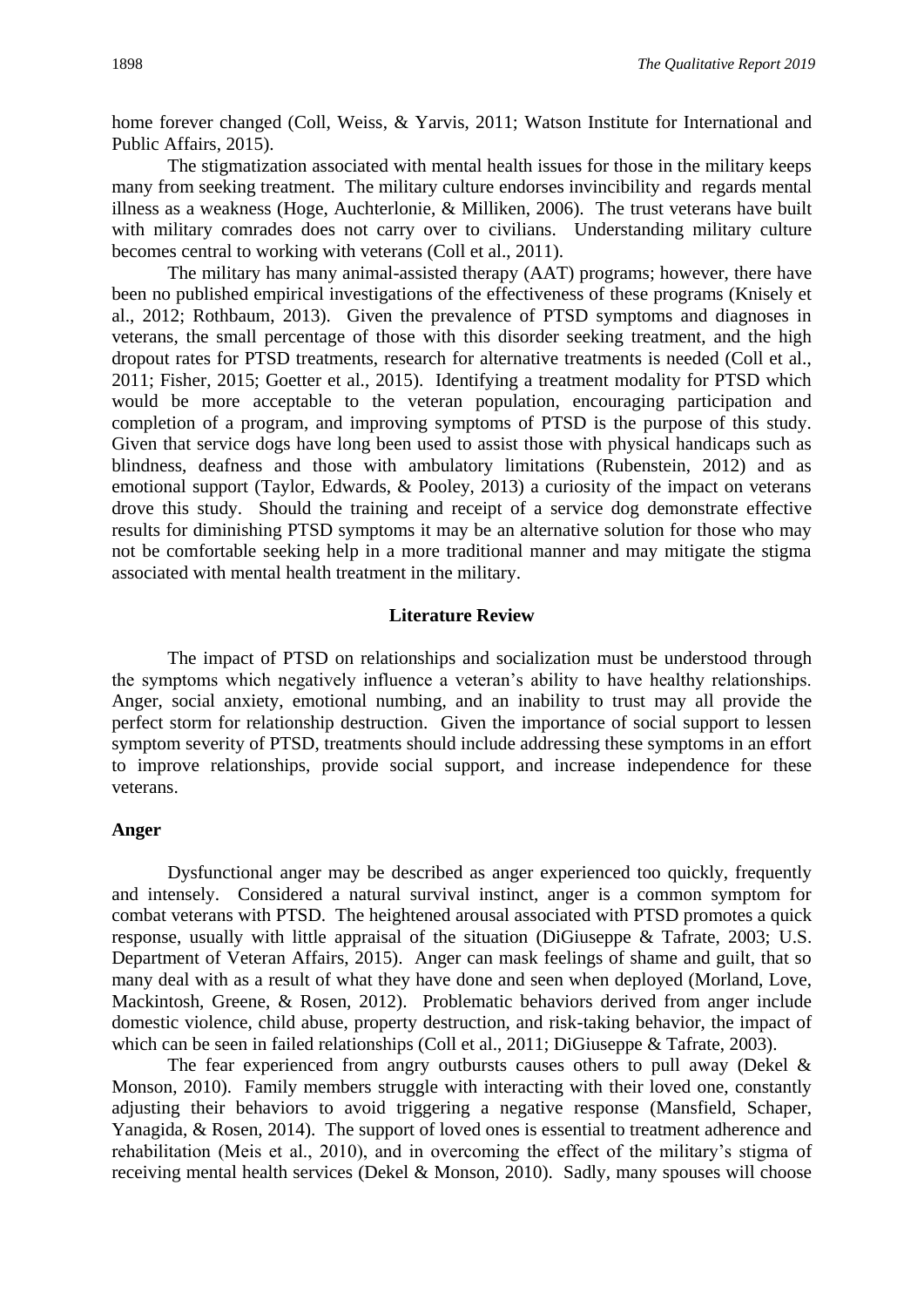home forever changed (Coll, Weiss, & Yarvis, 2011; Watson Institute for International and Public Affairs, 2015).

The stigmatization associated with mental health issues for those in the military keeps many from seeking treatment. The military culture endorses invincibility and regards mental illness as a weakness (Hoge, Auchterlonie, & Milliken, 2006). The trust veterans have built with military comrades does not carry over to civilians. Understanding military culture becomes central to working with veterans (Coll et al., 2011).

The military has many animal-assisted therapy (AAT) programs; however, there have been no published empirical investigations of the effectiveness of these programs (Knisely et al., 2012; Rothbaum, 2013). Given the prevalence of PTSD symptoms and diagnoses in veterans, the small percentage of those with this disorder seeking treatment, and the high dropout rates for PTSD treatments, research for alternative treatments is needed (Coll et al., 2011; Fisher, 2015; Goetter et al., 2015). Identifying a treatment modality for PTSD which would be more acceptable to the veteran population, encouraging participation and completion of a program, and improving symptoms of PTSD is the purpose of this study. Given that service dogs have long been used to assist those with physical handicaps such as blindness, deafness and those with ambulatory limitations (Rubenstein, 2012) and as emotional support (Taylor, Edwards, & Pooley, 2013) a curiosity of the impact on veterans drove this study. Should the training and receipt of a service dog demonstrate effective results for diminishing PTSD symptoms it may be an alternative solution for those who may not be comfortable seeking help in a more traditional manner and may mitigate the stigma associated with mental health treatment in the military.

### **Literature Review**

The impact of PTSD on relationships and socialization must be understood through the symptoms which negatively influence a veteran's ability to have healthy relationships. Anger, social anxiety, emotional numbing, and an inability to trust may all provide the perfect storm for relationship destruction. Given the importance of social support to lessen symptom severity of PTSD, treatments should include addressing these symptoms in an effort to improve relationships, provide social support, and increase independence for these veterans.

#### **Anger**

Dysfunctional anger may be described as anger experienced too quickly, frequently and intensely. Considered a natural survival instinct, anger is a common symptom for combat veterans with PTSD. The heightened arousal associated with PTSD promotes a quick response, usually with little appraisal of the situation (DiGiuseppe & Tafrate, 2003; U.S. Department of Veteran Affairs, 2015). Anger can mask feelings of shame and guilt, that so many deal with as a result of what they have done and seen when deployed (Morland, Love, Mackintosh, Greene, & Rosen, 2012). Problematic behaviors derived from anger include domestic violence, child abuse, property destruction, and risk-taking behavior, the impact of which can be seen in failed relationships (Coll et al., 2011; DiGiuseppe & Tafrate, 2003).

The fear experienced from angry outbursts causes others to pull away (Dekel  $\&$ Monson, 2010). Family members struggle with interacting with their loved one, constantly adjusting their behaviors to avoid triggering a negative response (Mansfield, Schaper, Yanagida, & Rosen, 2014). The support of loved ones is essential to treatment adherence and rehabilitation (Meis et al., 2010), and in overcoming the effect of the military's stigma of receiving mental health services (Dekel & Monson, 2010). Sadly, many spouses will choose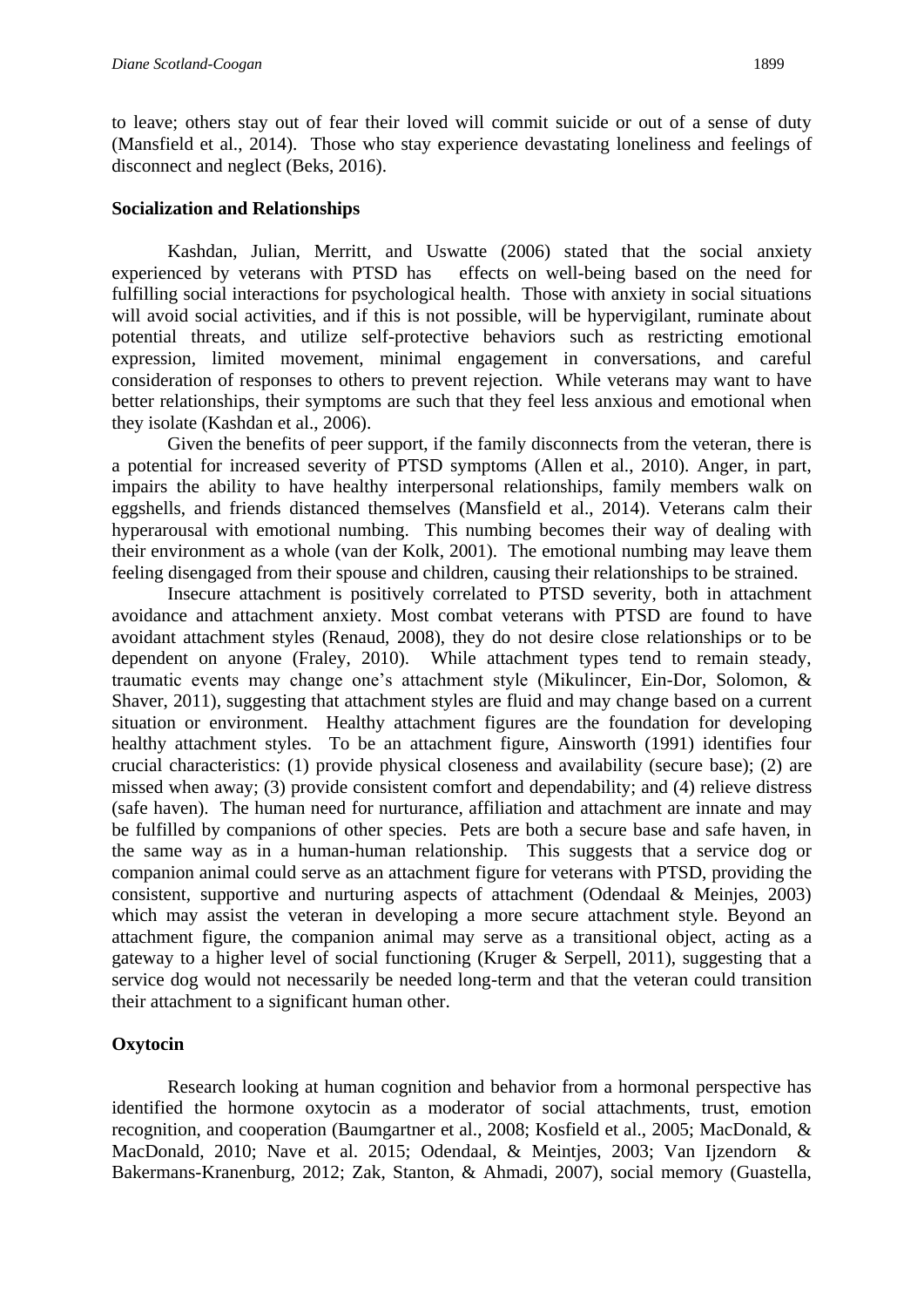to leave; others stay out of fear their loved will commit suicide or out of a sense of duty (Mansfield et al., 2014). Those who stay experience devastating loneliness and feelings of disconnect and neglect (Beks, 2016).

# **Socialization and Relationships**

Kashdan, Julian, Merritt, and Uswatte (2006) stated that the social anxiety experienced by veterans with PTSD has effects on well-being based on the need for fulfilling social interactions for psychological health. Those with anxiety in social situations will avoid social activities, and if this is not possible, will be hypervigilant, ruminate about potential threats, and utilize self-protective behaviors such as restricting emotional expression, limited movement, minimal engagement in conversations, and careful consideration of responses to others to prevent rejection. While veterans may want to have better relationships, their symptoms are such that they feel less anxious and emotional when they isolate (Kashdan et al., 2006).

Given the benefits of peer support, if the family disconnects from the veteran, there is a potential for increased severity of PTSD symptoms (Allen et al., 2010). Anger, in part, impairs the ability to have healthy interpersonal relationships, family members walk on eggshells, and friends distanced themselves (Mansfield et al., 2014). Veterans calm their hyperarousal with emotional numbing. This numbing becomes their way of dealing with their environment as a whole (van der Kolk, 2001). The emotional numbing may leave them feeling disengaged from their spouse and children, causing their relationships to be strained.

Insecure attachment is positively correlated to PTSD severity, both in attachment avoidance and attachment anxiety. Most combat veterans with PTSD are found to have avoidant attachment styles (Renaud, 2008), they do not desire close relationships or to be dependent on anyone (Fraley, 2010). While attachment types tend to remain steady, traumatic events may change one's attachment style (Mikulincer, Ein-Dor, Solomon, & Shaver, 2011), suggesting that attachment styles are fluid and may change based on a current situation or environment. Healthy attachment figures are the foundation for developing healthy attachment styles. To be an attachment figure, Ainsworth (1991) identifies four crucial characteristics: (1) provide physical closeness and availability (secure base); (2) are missed when away; (3) provide consistent comfort and dependability; and (4) relieve distress (safe haven). The human need for nurturance, affiliation and attachment are innate and may be fulfilled by companions of other species. Pets are both a secure base and safe haven, in the same way as in a human-human relationship. This suggests that a service dog or companion animal could serve as an attachment figure for veterans with PTSD, providing the consistent, supportive and nurturing aspects of attachment (Odendaal & Meinjes, 2003) which may assist the veteran in developing a more secure attachment style. Beyond an attachment figure, the companion animal may serve as a transitional object, acting as a gateway to a higher level of social functioning (Kruger & Serpell, 2011), suggesting that a service dog would not necessarily be needed long-term and that the veteran could transition their attachment to a significant human other.

# **Oxytocin**

Research looking at human cognition and behavior from a hormonal perspective has identified the hormone oxytocin as a moderator of social attachments, trust, emotion recognition, and cooperation (Baumgartner et al., 2008; Kosfield et al., 2005; MacDonald, & MacDonald, 2010; Nave et al. 2015; Odendaal, & Meintjes, 2003; Van Ijzendorn & Bakermans-Kranenburg, 2012; Zak, Stanton, & Ahmadi, 2007), social memory (Guastella,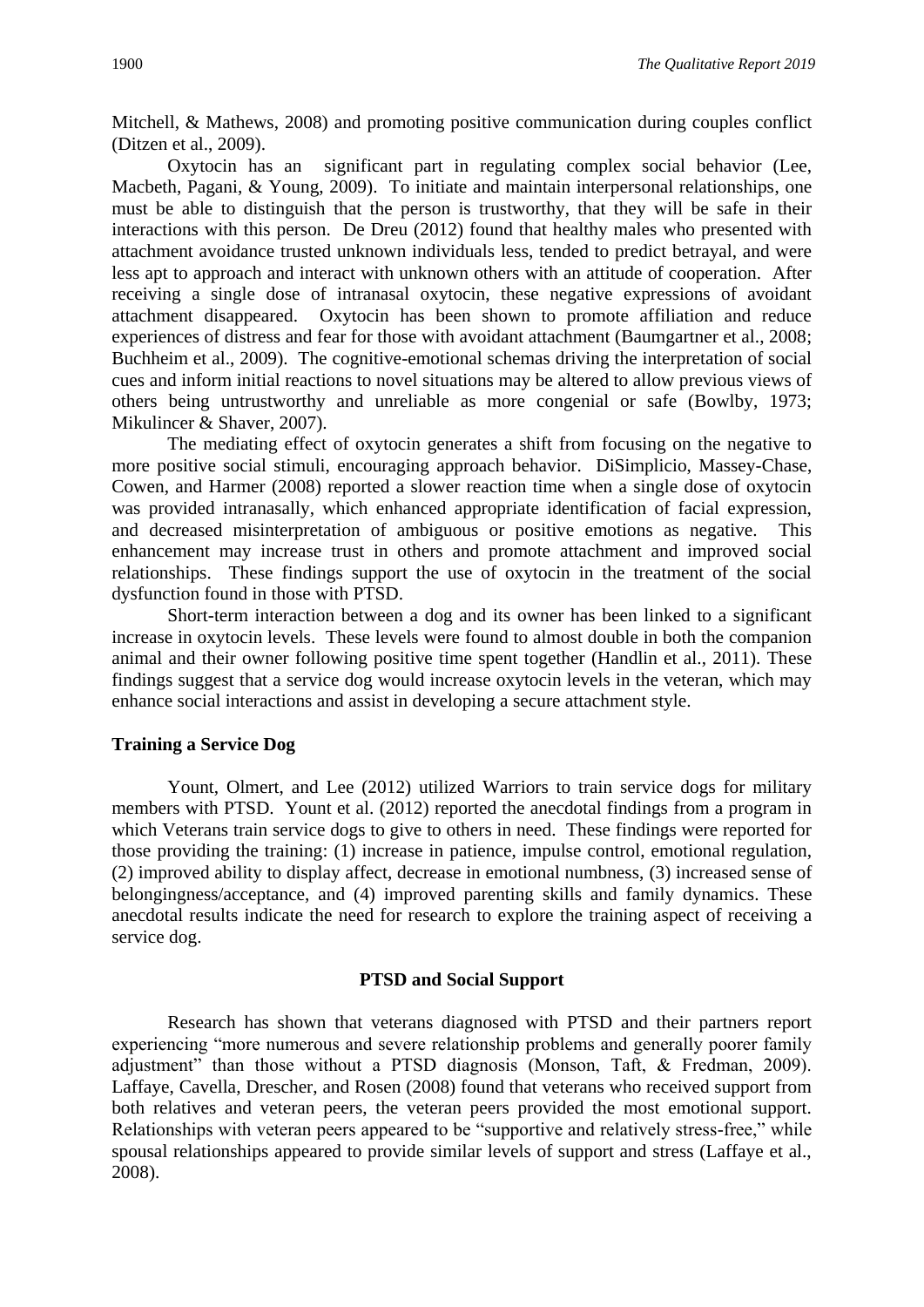Mitchell, & Mathews, 2008) and promoting positive communication during couples conflict (Ditzen et al., 2009).

Oxytocin has an significant part in regulating complex social behavior (Lee, Macbeth, Pagani, & Young, 2009). To initiate and maintain interpersonal relationships, one must be able to distinguish that the person is trustworthy, that they will be safe in their interactions with this person. De Dreu (2012) found that healthy males who presented with attachment avoidance trusted unknown individuals less, tended to predict betrayal, and were less apt to approach and interact with unknown others with an attitude of cooperation. After receiving a single dose of intranasal oxytocin, these negative expressions of avoidant attachment disappeared. Oxytocin has been shown to promote affiliation and reduce experiences of distress and fear for those with avoidant attachment (Baumgartner et al., 2008; Buchheim et al., 2009). The cognitive-emotional schemas driving the interpretation of social cues and inform initial reactions to novel situations may be altered to allow previous views of others being untrustworthy and unreliable as more congenial or safe (Bowlby, 1973; Mikulincer & Shaver, 2007).

The mediating effect of oxytocin generates a shift from focusing on the negative to more positive social stimuli, encouraging approach behavior. DiSimplicio, Massey-Chase, Cowen, and Harmer (2008) reported a slower reaction time when a single dose of oxytocin was provided intranasally, which enhanced appropriate identification of facial expression, and decreased misinterpretation of ambiguous or positive emotions as negative. This enhancement may increase trust in others and promote attachment and improved social relationships. These findings support the use of oxytocin in the treatment of the social dysfunction found in those with PTSD.

Short-term interaction between a dog and its owner has been linked to a significant increase in oxytocin levels. These levels were found to almost double in both the companion animal and their owner following positive time spent together (Handlin et al., 2011). These findings suggest that a service dog would increase oxytocin levels in the veteran, which may enhance social interactions and assist in developing a secure attachment style.

#### **Training a Service Dog**

Yount, Olmert, and Lee (2012) utilized Warriors to train service dogs for military members with PTSD. Yount et al. (2012) reported the anecdotal findings from a program in which Veterans train service dogs to give to others in need. These findings were reported for those providing the training: (1) increase in patience, impulse control, emotional regulation, (2) improved ability to display affect, decrease in emotional numbness, (3) increased sense of belongingness/acceptance, and (4) improved parenting skills and family dynamics. These anecdotal results indicate the need for research to explore the training aspect of receiving a service dog.

#### **PTSD and Social Support**

Research has shown that veterans diagnosed with PTSD and their partners report experiencing "more numerous and severe relationship problems and generally poorer family adjustment" than those without a PTSD diagnosis (Monson, Taft, & Fredman, 2009). Laffaye, Cavella, Drescher, and Rosen (2008) found that veterans who received support from both relatives and veteran peers, the veteran peers provided the most emotional support. Relationships with veteran peers appeared to be "supportive and relatively stress-free," while spousal relationships appeared to provide similar levels of support and stress (Laffaye et al., 2008).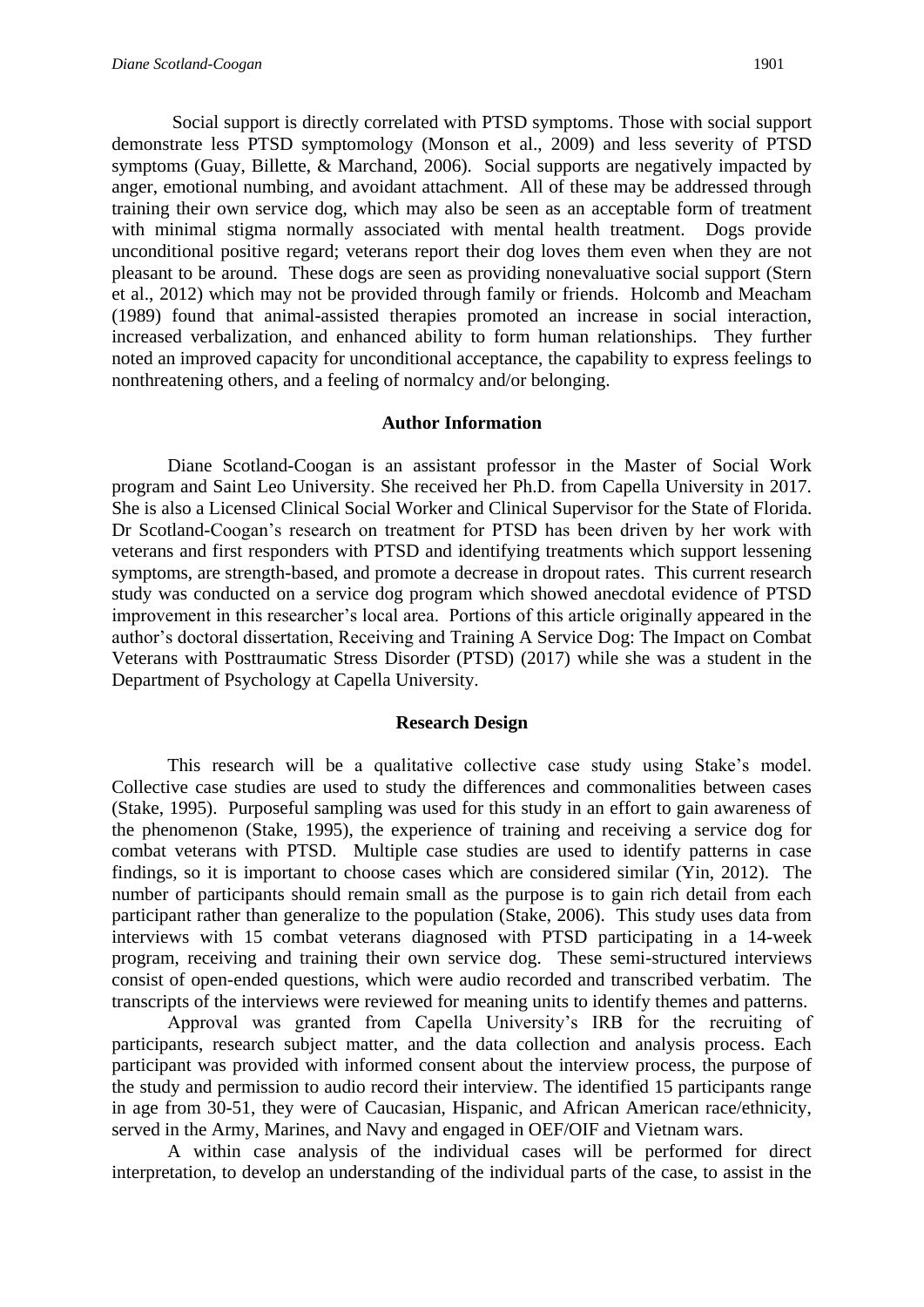Social support is directly correlated with PTSD symptoms. Those with social support demonstrate less PTSD symptomology (Monson et al., 2009) and less severity of PTSD symptoms (Guay, Billette, & Marchand, 2006). Social supports are negatively impacted by anger, emotional numbing, and avoidant attachment. All of these may be addressed through training their own service dog, which may also be seen as an acceptable form of treatment with minimal stigma normally associated with mental health treatment. Dogs provide unconditional positive regard; veterans report their dog loves them even when they are not pleasant to be around. These dogs are seen as providing nonevaluative social support (Stern et al., 2012) which may not be provided through family or friends. Holcomb and Meacham (1989) found that animal-assisted therapies promoted an increase in social interaction, increased verbalization, and enhanced ability to form human relationships. They further noted an improved capacity for unconditional acceptance, the capability to express feelings to nonthreatening others, and a feeling of normalcy and/or belonging.

#### **Author Information**

Diane Scotland-Coogan is an assistant professor in the Master of Social Work program and Saint Leo University. She received her Ph.D. from Capella University in 2017. She is also a Licensed Clinical Social Worker and Clinical Supervisor for the State of Florida. Dr Scotland-Coogan's research on treatment for PTSD has been driven by her work with veterans and first responders with PTSD and identifying treatments which support lessening symptoms, are strength-based, and promote a decrease in dropout rates. This current research study was conducted on a service dog program which showed anecdotal evidence of PTSD improvement in this researcher's local area. Portions of this article originally appeared in the author's doctoral dissertation, Receiving and Training A Service Dog: The Impact on Combat Veterans with Posttraumatic Stress Disorder (PTSD) (2017) while she was a student in the Department of Psychology at Capella University.

#### **Research Design**

This research will be a qualitative collective case study using Stake's model. Collective case studies are used to study the differences and commonalities between cases (Stake, 1995). Purposeful sampling was used for this study in an effort to gain awareness of the phenomenon (Stake, 1995), the experience of training and receiving a service dog for combat veterans with PTSD. Multiple case studies are used to identify patterns in case findings, so it is important to choose cases which are considered similar (Yin, 2012). The number of participants should remain small as the purpose is to gain rich detail from each participant rather than generalize to the population (Stake, 2006). This study uses data from interviews with 15 combat veterans diagnosed with PTSD participating in a 14-week program, receiving and training their own service dog. These semi-structured interviews consist of open-ended questions, which were audio recorded and transcribed verbatim. The transcripts of the interviews were reviewed for meaning units to identify themes and patterns.

Approval was granted from Capella University's IRB for the recruiting of participants, research subject matter, and the data collection and analysis process. Each participant was provided with informed consent about the interview process, the purpose of the study and permission to audio record their interview. The identified 15 participants range in age from 30-51, they were of Caucasian, Hispanic, and African American race/ethnicity, served in the Army, Marines, and Navy and engaged in OEF/OIF and Vietnam wars.

A within case analysis of the individual cases will be performed for direct interpretation, to develop an understanding of the individual parts of the case, to assist in the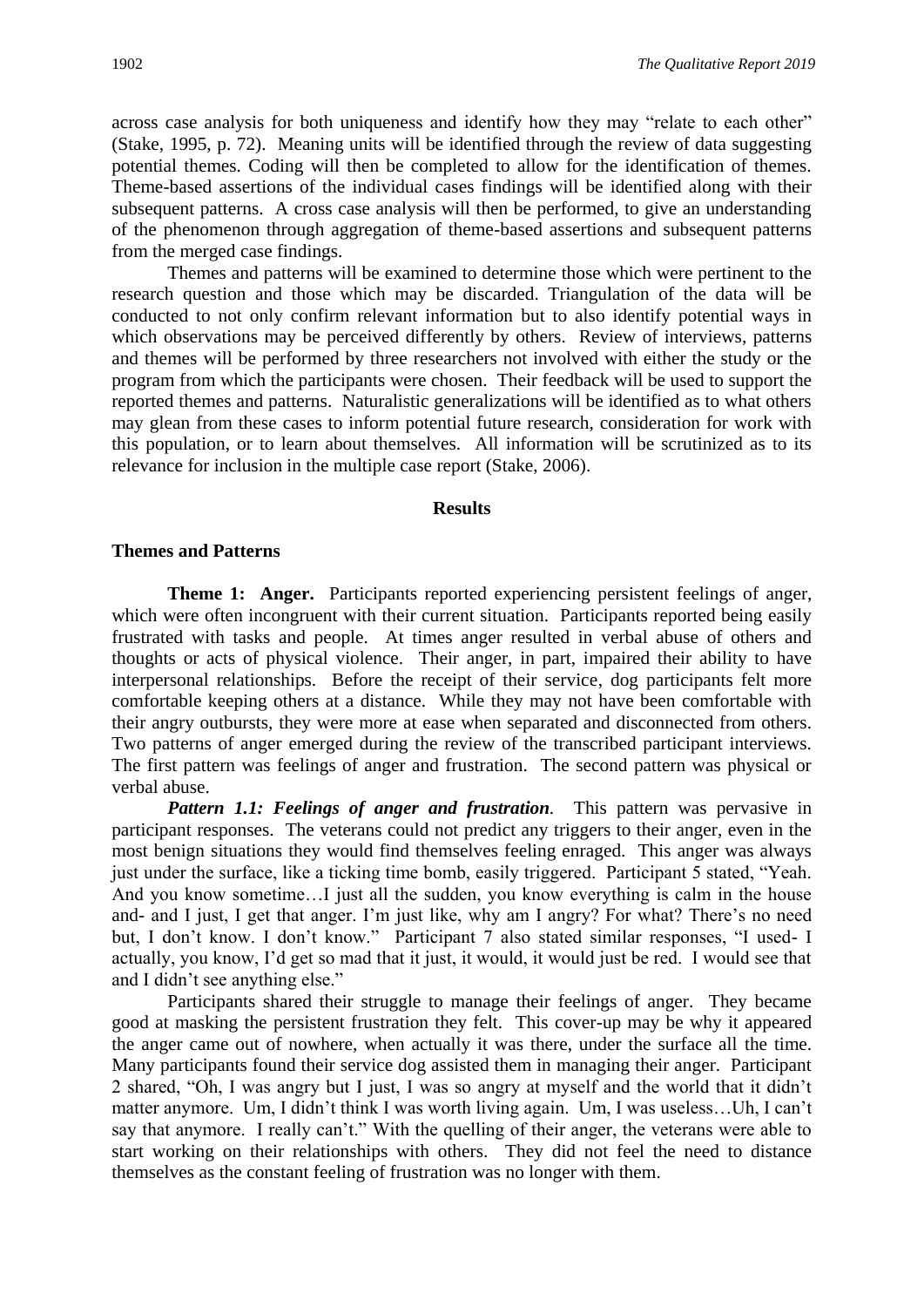across case analysis for both uniqueness and identify how they may "relate to each other" (Stake, 1995, p. 72). Meaning units will be identified through the review of data suggesting potential themes. Coding will then be completed to allow for the identification of themes. Theme-based assertions of the individual cases findings will be identified along with their subsequent patterns. A cross case analysis will then be performed, to give an understanding of the phenomenon through aggregation of theme-based assertions and subsequent patterns from the merged case findings.

Themes and patterns will be examined to determine those which were pertinent to the research question and those which may be discarded. Triangulation of the data will be conducted to not only confirm relevant information but to also identify potential ways in which observations may be perceived differently by others. Review of interviews, patterns and themes will be performed by three researchers not involved with either the study or the program from which the participants were chosen. Their feedback will be used to support the reported themes and patterns. Naturalistic generalizations will be identified as to what others may glean from these cases to inform potential future research, consideration for work with this population, or to learn about themselves. All information will be scrutinized as to its relevance for inclusion in the multiple case report (Stake, 2006).

### **Results**

## **Themes and Patterns**

**Theme 1: Anger.** Participants reported experiencing persistent feelings of anger, which were often incongruent with their current situation. Participants reported being easily frustrated with tasks and people. At times anger resulted in verbal abuse of others and thoughts or acts of physical violence. Their anger, in part, impaired their ability to have interpersonal relationships. Before the receipt of their service, dog participants felt more comfortable keeping others at a distance. While they may not have been comfortable with their angry outbursts, they were more at ease when separated and disconnected from others. Two patterns of anger emerged during the review of the transcribed participant interviews. The first pattern was feelings of anger and frustration. The second pattern was physical or verbal abuse.

*Pattern 1.1: Feelings of anger and frustration.* This pattern was pervasive in participant responses. The veterans could not predict any triggers to their anger, even in the most benign situations they would find themselves feeling enraged. This anger was always just under the surface, like a ticking time bomb, easily triggered. Participant 5 stated, "Yeah. And you know sometime…I just all the sudden, you know everything is calm in the house and- and I just, I get that anger. I'm just like, why am I angry? For what? There's no need but, I don't know. I don't know." Participant 7 also stated similar responses, "I used- I actually, you know, I'd get so mad that it just, it would, it would just be red. I would see that and I didn't see anything else."

Participants shared their struggle to manage their feelings of anger. They became good at masking the persistent frustration they felt. This cover-up may be why it appeared the anger came out of nowhere, when actually it was there, under the surface all the time. Many participants found their service dog assisted them in managing their anger. Participant 2 shared, "Oh, I was angry but I just, I was so angry at myself and the world that it didn't matter anymore. Um, I didn't think I was worth living again. Um, I was useless…Uh, I can't say that anymore. I really can't." With the quelling of their anger, the veterans were able to start working on their relationships with others. They did not feel the need to distance themselves as the constant feeling of frustration was no longer with them.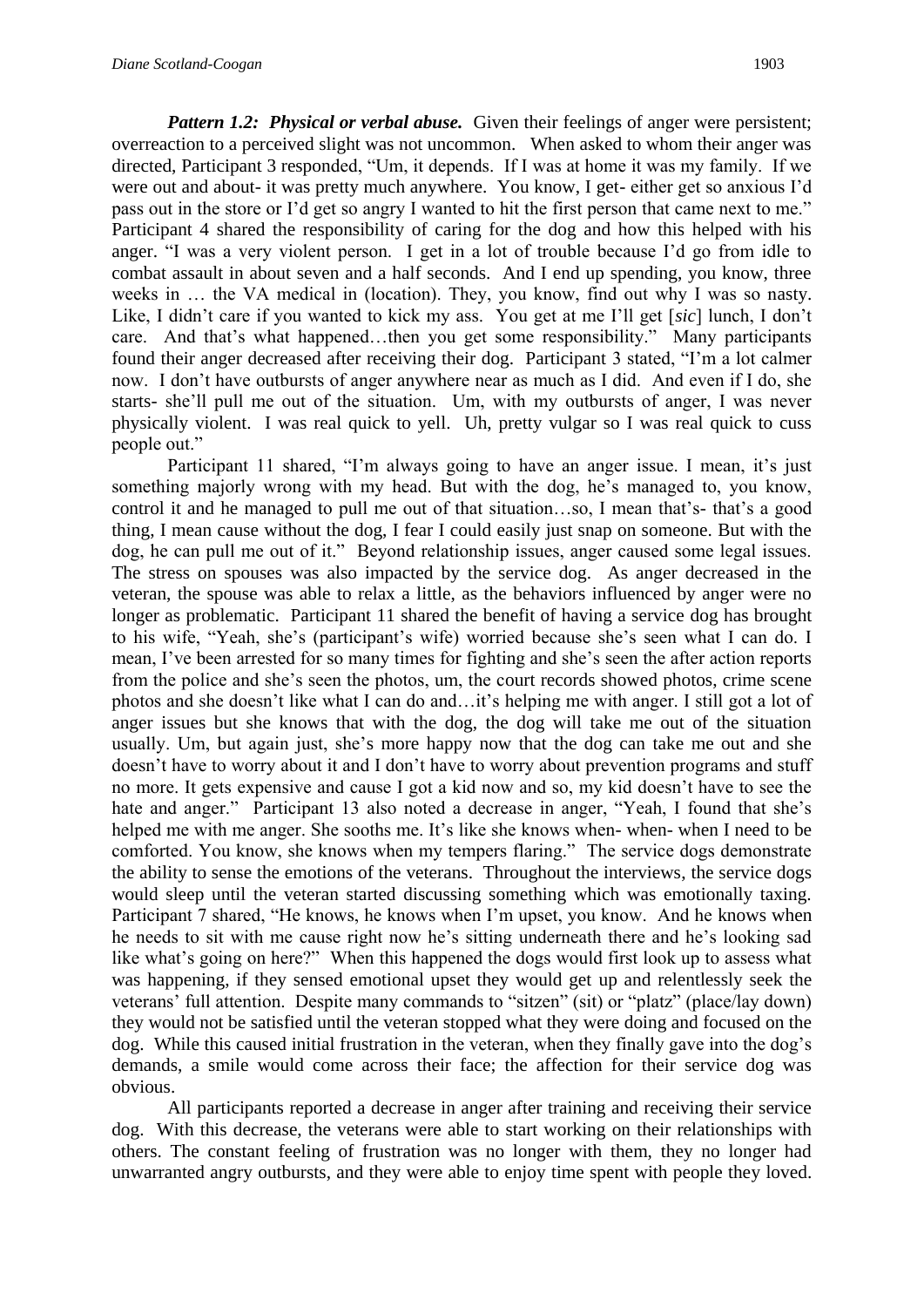*Pattern 1.2: Physical or verbal abuse.* Given their feelings of anger were persistent; overreaction to a perceived slight was not uncommon. When asked to whom their anger was directed, Participant 3 responded, "Um, it depends. If I was at home it was my family. If we were out and about- it was pretty much anywhere. You know, I get- either get so anxious I'd pass out in the store or I'd get so angry I wanted to hit the first person that came next to me." Participant 4 shared the responsibility of caring for the dog and how this helped with his anger. "I was a very violent person. I get in a lot of trouble because I'd go from idle to combat assault in about seven and a half seconds. And I end up spending, you know, three weeks in … the VA medical in (location). They, you know, find out why I was so nasty. Like, I didn't care if you wanted to kick my ass. You get at me I'll get [*sic*] lunch, I don't care. And that's what happened…then you get some responsibility." Many participants found their anger decreased after receiving their dog. Participant 3 stated, "I'm a lot calmer now. I don't have outbursts of anger anywhere near as much as I did. And even if I do, she starts- she'll pull me out of the situation. Um, with my outbursts of anger, I was never physically violent. I was real quick to yell. Uh, pretty vulgar so I was real quick to cuss people out."

Participant 11 shared, "I'm always going to have an anger issue. I mean, it's just something majorly wrong with my head. But with the dog, he's managed to, you know, control it and he managed to pull me out of that situation…so, I mean that's- that's a good thing, I mean cause without the dog, I fear I could easily just snap on someone. But with the dog, he can pull me out of it." Beyond relationship issues, anger caused some legal issues. The stress on spouses was also impacted by the service dog. As anger decreased in the veteran, the spouse was able to relax a little, as the behaviors influenced by anger were no longer as problematic. Participant 11 shared the benefit of having a service dog has brought to his wife, "Yeah, she's (participant's wife) worried because she's seen what I can do. I mean, I've been arrested for so many times for fighting and she's seen the after action reports from the police and she's seen the photos, um, the court records showed photos, crime scene photos and she doesn't like what I can do and…it's helping me with anger. I still got a lot of anger issues but she knows that with the dog, the dog will take me out of the situation usually. Um, but again just, she's more happy now that the dog can take me out and she doesn't have to worry about it and I don't have to worry about prevention programs and stuff no more. It gets expensive and cause I got a kid now and so, my kid doesn't have to see the hate and anger." Participant 13 also noted a decrease in anger, "Yeah, I found that she's helped me with me anger. She sooths me. It's like she knows when- when- when I need to be comforted. You know, she knows when my tempers flaring." The service dogs demonstrate the ability to sense the emotions of the veterans. Throughout the interviews, the service dogs would sleep until the veteran started discussing something which was emotionally taxing. Participant 7 shared, "He knows, he knows when I'm upset, you know. And he knows when he needs to sit with me cause right now he's sitting underneath there and he's looking sad like what's going on here?" When this happened the dogs would first look up to assess what was happening, if they sensed emotional upset they would get up and relentlessly seek the veterans' full attention. Despite many commands to "sitzen" (sit) or "platz" (place/lay down) they would not be satisfied until the veteran stopped what they were doing and focused on the dog. While this caused initial frustration in the veteran, when they finally gave into the dog's demands, a smile would come across their face; the affection for their service dog was obvious.

All participants reported a decrease in anger after training and receiving their service dog. With this decrease, the veterans were able to start working on their relationships with others. The constant feeling of frustration was no longer with them, they no longer had unwarranted angry outbursts, and they were able to enjoy time spent with people they loved.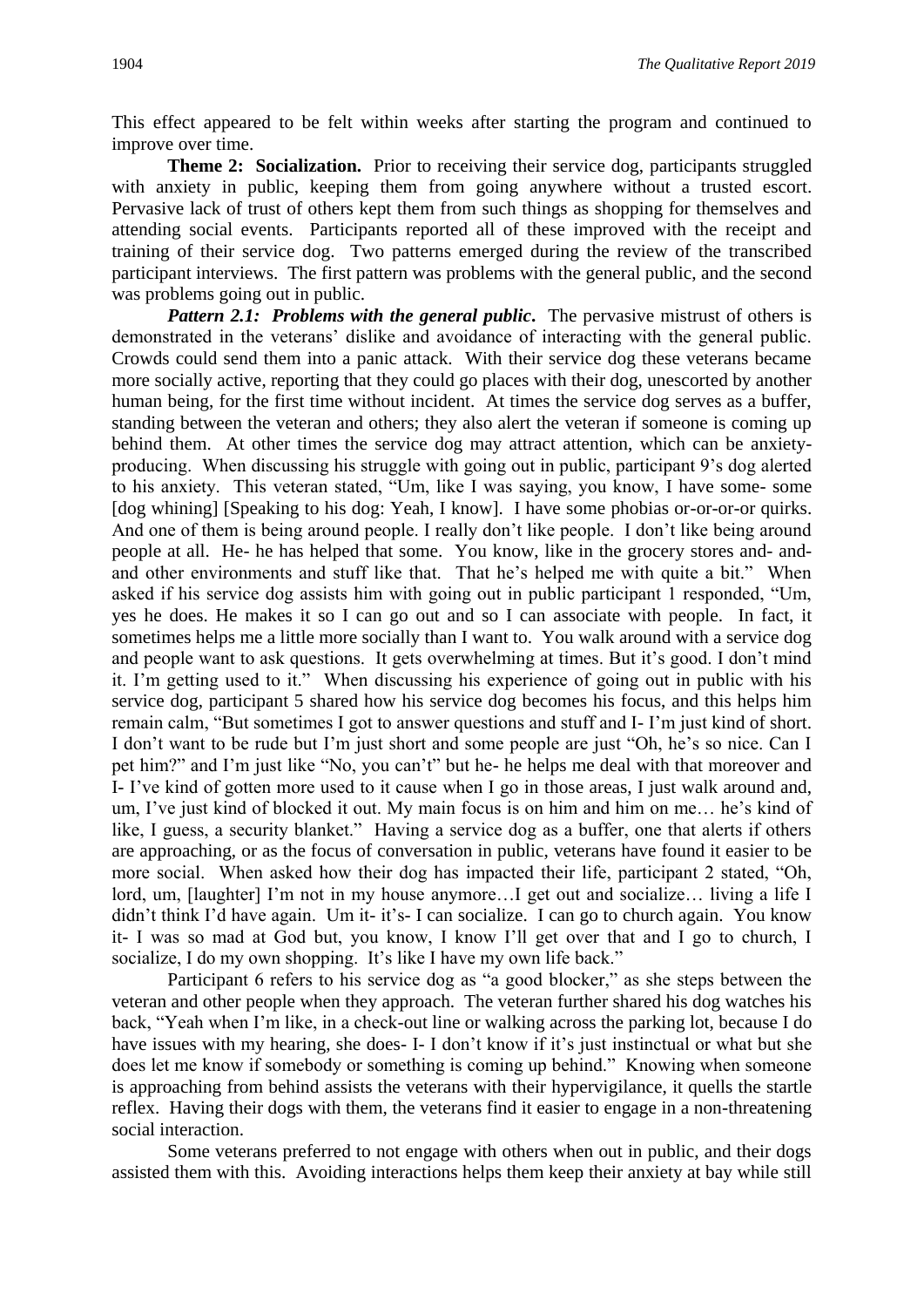This effect appeared to be felt within weeks after starting the program and continued to improve over time.

**Theme 2: Socialization.** Prior to receiving their service dog, participants struggled with anxiety in public, keeping them from going anywhere without a trusted escort. Pervasive lack of trust of others kept them from such things as shopping for themselves and attending social events. Participants reported all of these improved with the receipt and training of their service dog. Two patterns emerged during the review of the transcribed participant interviews. The first pattern was problems with the general public, and the second was problems going out in public.

*Pattern 2.1: Problems with the general public.* **The pervasive mistrust of others is** demonstrated in the veterans' dislike and avoidance of interacting with the general public. Crowds could send them into a panic attack. With their service dog these veterans became more socially active, reporting that they could go places with their dog, unescorted by another human being, for the first time without incident. At times the service dog serves as a buffer, standing between the veteran and others; they also alert the veteran if someone is coming up behind them. At other times the service dog may attract attention, which can be anxietyproducing. When discussing his struggle with going out in public, participant 9's dog alerted to his anxiety. This veteran stated, "Um, like I was saying, you know, I have some- some [dog whining] [Speaking to his dog: Yeah, I know]. I have some phobias or-or-or-or quirks. And one of them is being around people. I really don't like people. I don't like being around people at all. He- he has helped that some. You know, like in the grocery stores and- andand other environments and stuff like that. That he's helped me with quite a bit." When asked if his service dog assists him with going out in public participant 1 responded, "Um, yes he does. He makes it so I can go out and so I can associate with people. In fact, it sometimes helps me a little more socially than I want to. You walk around with a service dog and people want to ask questions. It gets overwhelming at times. But it's good. I don't mind it. I'm getting used to it." When discussing his experience of going out in public with his service dog, participant 5 shared how his service dog becomes his focus, and this helps him remain calm, "But sometimes I got to answer questions and stuff and I- I'm just kind of short. I don't want to be rude but I'm just short and some people are just "Oh, he's so nice. Can I pet him?" and I'm just like "No, you can't" but he- he helps me deal with that moreover and I- I've kind of gotten more used to it cause when I go in those areas, I just walk around and, um, I've just kind of blocked it out. My main focus is on him and him on me… he's kind of like, I guess, a security blanket." Having a service dog as a buffer, one that alerts if others are approaching, or as the focus of conversation in public, veterans have found it easier to be more social. When asked how their dog has impacted their life, participant 2 stated, "Oh, lord, um, [laughter] I'm not in my house anymore…I get out and socialize… living a life I didn't think I'd have again. Um it- it's- I can socialize. I can go to church again. You know it- I was so mad at God but, you know, I know I'll get over that and I go to church, I socialize, I do my own shopping. It's like I have my own life back."

Participant 6 refers to his service dog as "a good blocker," as she steps between the veteran and other people when they approach. The veteran further shared his dog watches his back, "Yeah when I'm like, in a check-out line or walking across the parking lot, because I do have issues with my hearing, she does- I- I don't know if it's just instinctual or what but she does let me know if somebody or something is coming up behind." Knowing when someone is approaching from behind assists the veterans with their hypervigilance, it quells the startle reflex. Having their dogs with them, the veterans find it easier to engage in a non-threatening social interaction.

Some veterans preferred to not engage with others when out in public, and their dogs assisted them with this. Avoiding interactions helps them keep their anxiety at bay while still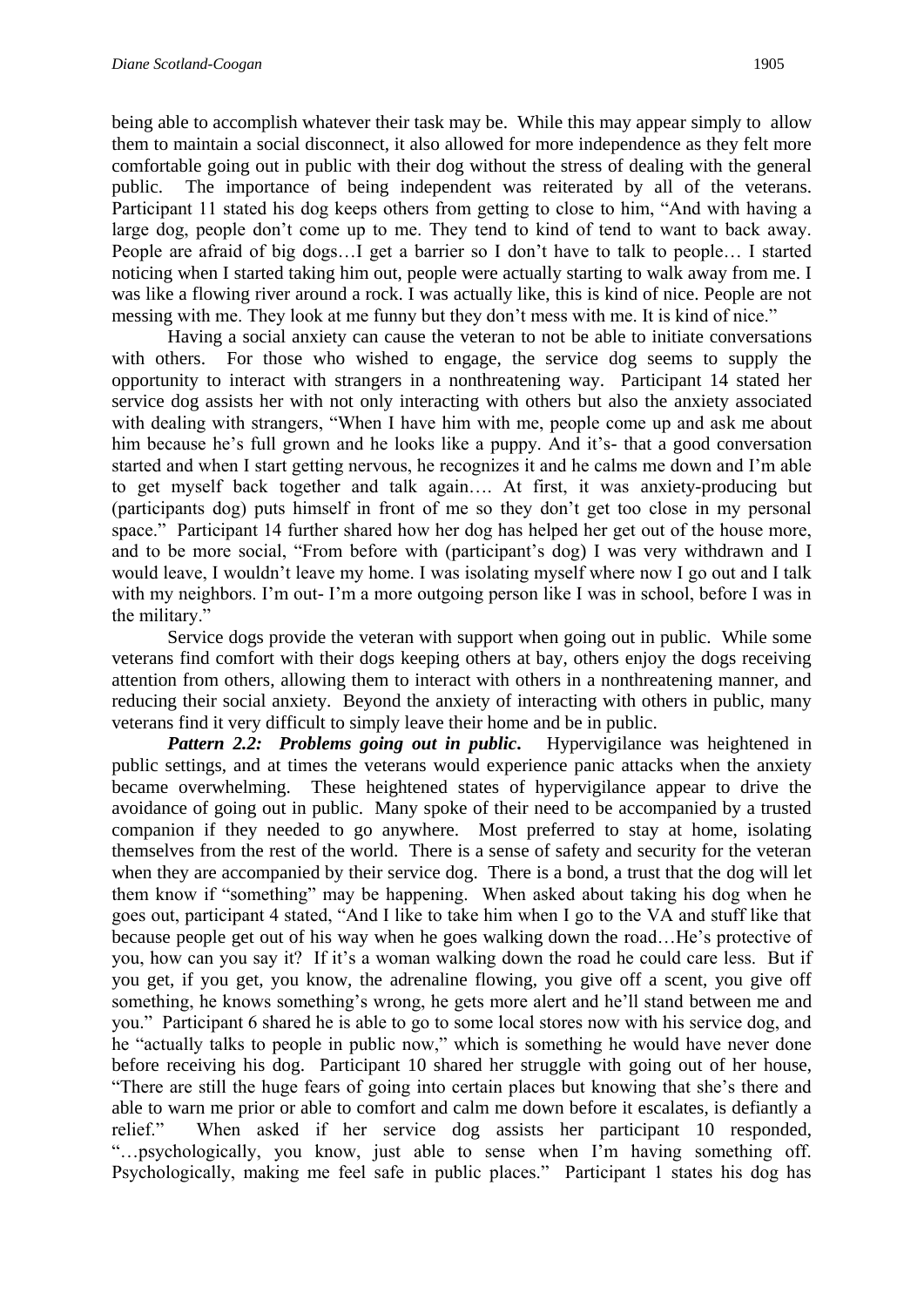being able to accomplish whatever their task may be. While this may appear simply to allow them to maintain a social disconnect, it also allowed for more independence as they felt more comfortable going out in public with their dog without the stress of dealing with the general public. The importance of being independent was reiterated by all of the veterans. Participant 11 stated his dog keeps others from getting to close to him, "And with having a large dog, people don't come up to me. They tend to kind of tend to want to back away. People are afraid of big dogs…I get a barrier so I don't have to talk to people… I started noticing when I started taking him out, people were actually starting to walk away from me. I was like a flowing river around a rock. I was actually like, this is kind of nice. People are not messing with me. They look at me funny but they don't mess with me. It is kind of nice."

Having a social anxiety can cause the veteran to not be able to initiate conversations with others. For those who wished to engage, the service dog seems to supply the opportunity to interact with strangers in a nonthreatening way. Participant 14 stated her service dog assists her with not only interacting with others but also the anxiety associated with dealing with strangers, "When I have him with me, people come up and ask me about him because he's full grown and he looks like a puppy. And it's- that a good conversation started and when I start getting nervous, he recognizes it and he calms me down and I'm able to get myself back together and talk again…. At first, it was anxiety-producing but (participants dog) puts himself in front of me so they don't get too close in my personal space." Participant 14 further shared how her dog has helped her get out of the house more, and to be more social, "From before with (participant's dog) I was very withdrawn and I would leave, I wouldn't leave my home. I was isolating myself where now I go out and I talk with my neighbors. I'm out- I'm a more outgoing person like I was in school, before I was in the military."

Service dogs provide the veteran with support when going out in public. While some veterans find comfort with their dogs keeping others at bay, others enjoy the dogs receiving attention from others, allowing them to interact with others in a nonthreatening manner, and reducing their social anxiety. Beyond the anxiety of interacting with others in public, many veterans find it very difficult to simply leave their home and be in public.

*Pattern 2.2: Problems going out in public.* Hypervigilance was heightened in public settings, and at times the veterans would experience panic attacks when the anxiety became overwhelming. These heightened states of hypervigilance appear to drive the avoidance of going out in public. Many spoke of their need to be accompanied by a trusted companion if they needed to go anywhere. Most preferred to stay at home, isolating themselves from the rest of the world. There is a sense of safety and security for the veteran when they are accompanied by their service dog. There is a bond, a trust that the dog will let them know if "something" may be happening. When asked about taking his dog when he goes out, participant 4 stated, "And I like to take him when I go to the VA and stuff like that because people get out of his way when he goes walking down the road…He's protective of you, how can you say it? If it's a woman walking down the road he could care less. But if you get, if you get, you know, the adrenaline flowing, you give off a scent, you give off something, he knows something's wrong, he gets more alert and he'll stand between me and you." Participant 6 shared he is able to go to some local stores now with his service dog, and he "actually talks to people in public now," which is something he would have never done before receiving his dog. Participant 10 shared her struggle with going out of her house, "There are still the huge fears of going into certain places but knowing that she's there and able to warn me prior or able to comfort and calm me down before it escalates, is defiantly a relief." When asked if her service dog assists her participant 10 responded, "…psychologically, you know, just able to sense when I'm having something off. Psychologically, making me feel safe in public places." Participant 1 states his dog has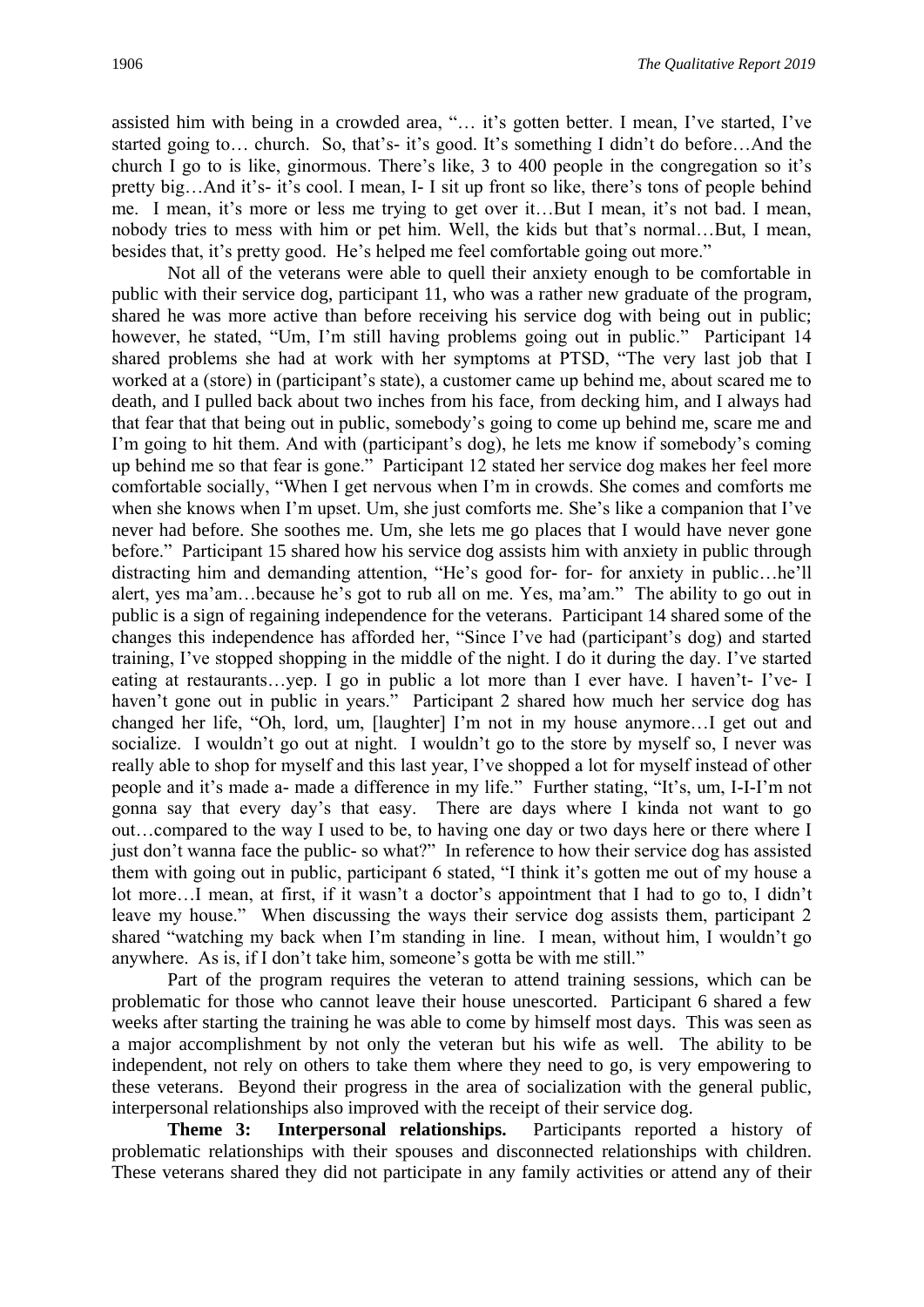assisted him with being in a crowded area, "… it's gotten better. I mean, I've started, I've started going to… church. So, that's- it's good. It's something I didn't do before…And the church I go to is like, ginormous. There's like, 3 to 400 people in the congregation so it's pretty big…And it's- it's cool. I mean, I- I sit up front so like, there's tons of people behind me. I mean, it's more or less me trying to get over it…But I mean, it's not bad. I mean, nobody tries to mess with him or pet him. Well, the kids but that's normal…But, I mean, besides that, it's pretty good. He's helped me feel comfortable going out more."

Not all of the veterans were able to quell their anxiety enough to be comfortable in public with their service dog, participant 11, who was a rather new graduate of the program, shared he was more active than before receiving his service dog with being out in public; however, he stated, "Um, I'm still having problems going out in public." Participant 14 shared problems she had at work with her symptoms at PTSD, "The very last job that I worked at a (store) in (participant's state), a customer came up behind me, about scared me to death, and I pulled back about two inches from his face, from decking him, and I always had that fear that that being out in public, somebody's going to come up behind me, scare me and I'm going to hit them. And with (participant's dog), he lets me know if somebody's coming up behind me so that fear is gone." Participant 12 stated her service dog makes her feel more comfortable socially, "When I get nervous when I'm in crowds. She comes and comforts me when she knows when I'm upset. Um, she just comforts me. She's like a companion that I've never had before. She soothes me. Um, she lets me go places that I would have never gone before." Participant 15 shared how his service dog assists him with anxiety in public through distracting him and demanding attention, "He's good for- for- for anxiety in public…he'll alert, yes ma'am…because he's got to rub all on me. Yes, ma'am." The ability to go out in public is a sign of regaining independence for the veterans. Participant 14 shared some of the changes this independence has afforded her, "Since I've had (participant's dog) and started training, I've stopped shopping in the middle of the night. I do it during the day. I've started eating at restaurants…yep. I go in public a lot more than I ever have. I haven't- I've- I haven't gone out in public in years." Participant 2 shared how much her service dog has changed her life, "Oh, lord, um, [laughter] I'm not in my house anymore…I get out and socialize. I wouldn't go out at night. I wouldn't go to the store by myself so, I never was really able to shop for myself and this last year, I've shopped a lot for myself instead of other people and it's made a- made a difference in my life." Further stating, "It's, um, I-I-I'm not gonna say that every day's that easy. There are days where I kinda not want to go out…compared to the way I used to be, to having one day or two days here or there where I just don't wanna face the public- so what?" In reference to how their service dog has assisted them with going out in public, participant 6 stated, "I think it's gotten me out of my house a lot more…I mean, at first, if it wasn't a doctor's appointment that I had to go to, I didn't leave my house." When discussing the ways their service dog assists them, participant 2 shared "watching my back when I'm standing in line. I mean, without him, I wouldn't go anywhere. As is, if I don't take him, someone's gotta be with me still."

Part of the program requires the veteran to attend training sessions, which can be problematic for those who cannot leave their house unescorted. Participant 6 shared a few weeks after starting the training he was able to come by himself most days. This was seen as a major accomplishment by not only the veteran but his wife as well. The ability to be independent, not rely on others to take them where they need to go, is very empowering to these veterans. Beyond their progress in the area of socialization with the general public, interpersonal relationships also improved with the receipt of their service dog.

**Theme 3: Interpersonal relationships.** Participants reported a history of problematic relationships with their spouses and disconnected relationships with children. These veterans shared they did not participate in any family activities or attend any of their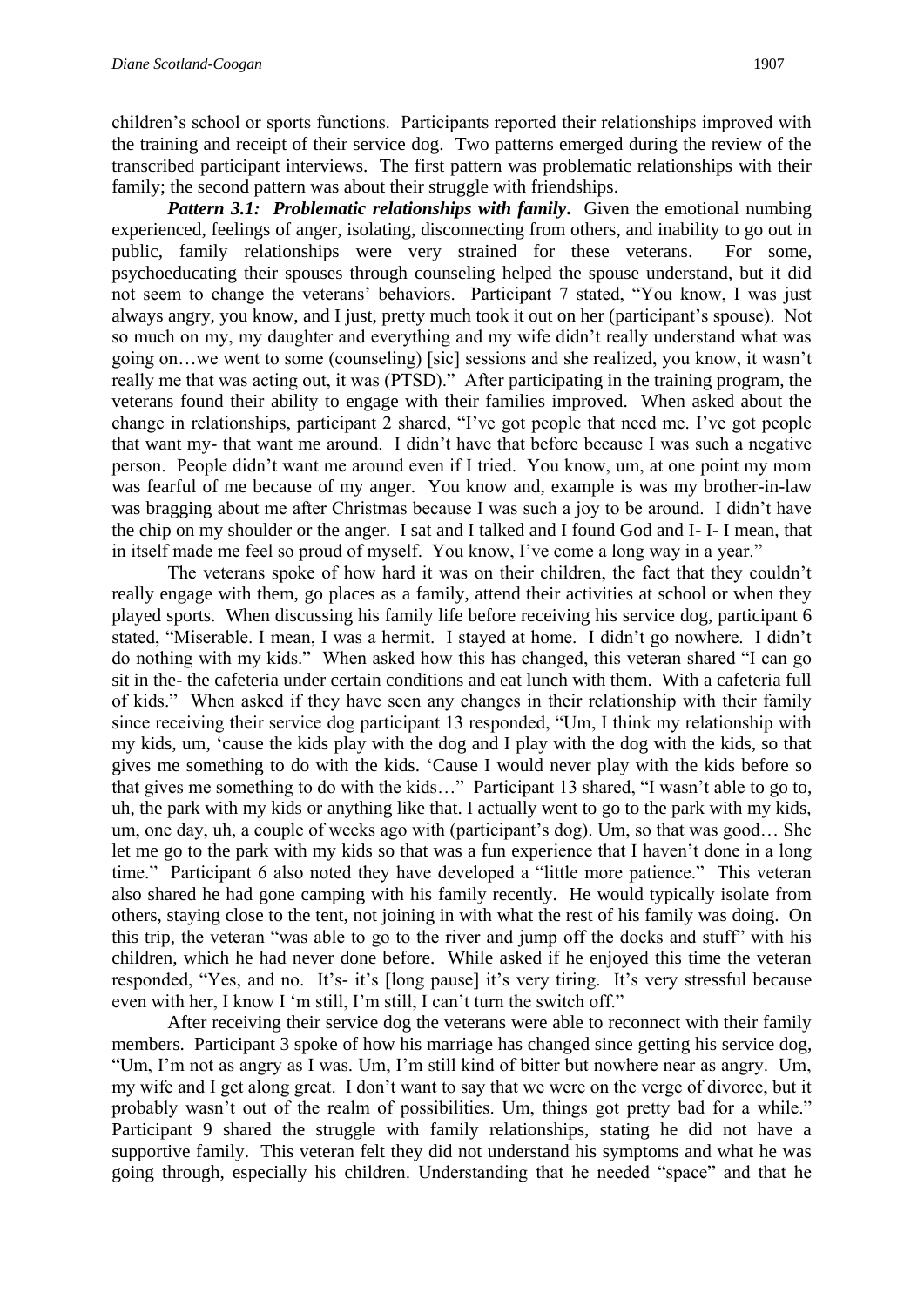children's school or sports functions. Participants reported their relationships improved with the training and receipt of their service dog. Two patterns emerged during the review of the transcribed participant interviews. The first pattern was problematic relationships with their family; the second pattern was about their struggle with friendships.

*Pattern 3.1: Problematic relationships with family.* **Given the emotional numbing** experienced, feelings of anger, isolating, disconnecting from others, and inability to go out in public, family relationships were very strained for these veterans. For some, psychoeducating their spouses through counseling helped the spouse understand, but it did not seem to change the veterans' behaviors. Participant 7 stated, "You know, I was just always angry, you know, and I just, pretty much took it out on her (participant's spouse). Not so much on my, my daughter and everything and my wife didn't really understand what was going on…we went to some (counseling) [sic] sessions and she realized, you know, it wasn't really me that was acting out, it was (PTSD)." After participating in the training program, the veterans found their ability to engage with their families improved. When asked about the change in relationships, participant 2 shared, "I've got people that need me. I've got people that want my- that want me around. I didn't have that before because I was such a negative person. People didn't want me around even if I tried. You know, um, at one point my mom was fearful of me because of my anger. You know and, example is was my brother-in-law was bragging about me after Christmas because I was such a joy to be around. I didn't have the chip on my shoulder or the anger. I sat and I talked and I found God and I- I- I mean, that in itself made me feel so proud of myself. You know, I've come a long way in a year."

The veterans spoke of how hard it was on their children, the fact that they couldn't really engage with them, go places as a family, attend their activities at school or when they played sports. When discussing his family life before receiving his service dog, participant 6 stated, "Miserable. I mean, I was a hermit. I stayed at home. I didn't go nowhere. I didn't do nothing with my kids." When asked how this has changed, this veteran shared "I can go sit in the- the cafeteria under certain conditions and eat lunch with them. With a cafeteria full of kids." When asked if they have seen any changes in their relationship with their family since receiving their service dog participant 13 responded, "Um, I think my relationship with my kids, um, 'cause the kids play with the dog and I play with the dog with the kids, so that gives me something to do with the kids. 'Cause I would never play with the kids before so that gives me something to do with the kids…" Participant 13 shared, "I wasn't able to go to, uh, the park with my kids or anything like that. I actually went to go to the park with my kids, um, one day, uh, a couple of weeks ago with (participant's dog). Um, so that was good… She let me go to the park with my kids so that was a fun experience that I haven't done in a long time." Participant 6 also noted they have developed a "little more patience." This veteran also shared he had gone camping with his family recently. He would typically isolate from others, staying close to the tent, not joining in with what the rest of his family was doing. On this trip, the veteran "was able to go to the river and jump off the docks and stuff" with his children, which he had never done before. While asked if he enjoyed this time the veteran responded, "Yes, and no. It's- it's [long pause] it's very tiring. It's very stressful because even with her, I know I 'm still, I'm still, I can't turn the switch off."

After receiving their service dog the veterans were able to reconnect with their family members. Participant 3 spoke of how his marriage has changed since getting his service dog, "Um, I'm not as angry as I was. Um, I'm still kind of bitter but nowhere near as angry. Um, my wife and I get along great. I don't want to say that we were on the verge of divorce, but it probably wasn't out of the realm of possibilities. Um, things got pretty bad for a while." Participant 9 shared the struggle with family relationships, stating he did not have a supportive family. This veteran felt they did not understand his symptoms and what he was going through, especially his children. Understanding that he needed "space" and that he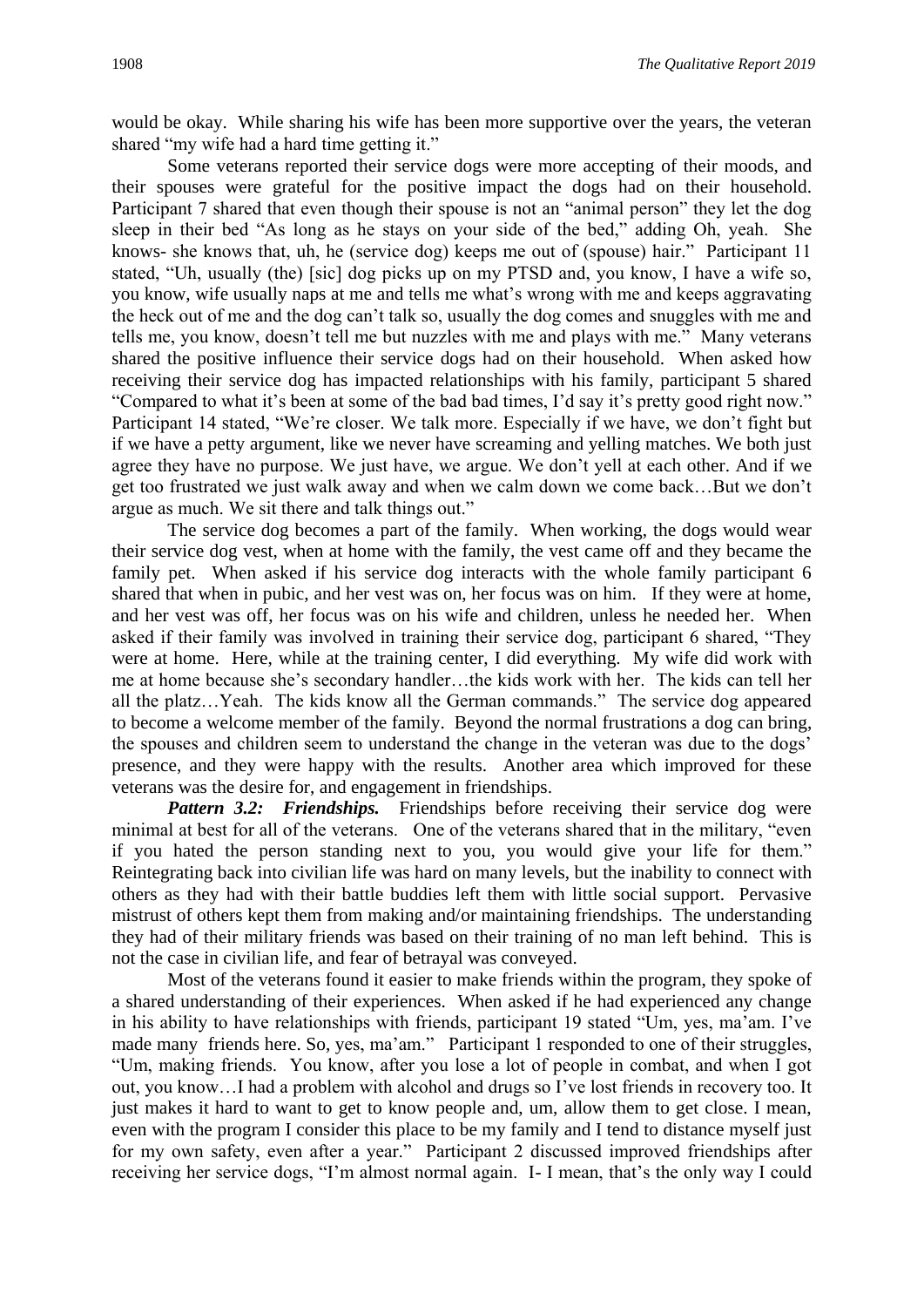would be okay. While sharing his wife has been more supportive over the years, the veteran shared "my wife had a hard time getting it."

Some veterans reported their service dogs were more accepting of their moods, and their spouses were grateful for the positive impact the dogs had on their household. Participant 7 shared that even though their spouse is not an "animal person" they let the dog sleep in their bed "As long as he stays on your side of the bed," adding Oh, yeah. She knows- she knows that, uh, he (service dog) keeps me out of (spouse) hair." Participant 11 stated, "Uh, usually (the) [sic] dog picks up on my PTSD and, you know, I have a wife so, you know, wife usually naps at me and tells me what's wrong with me and keeps aggravating the heck out of me and the dog can't talk so, usually the dog comes and snuggles with me and tells me, you know, doesn't tell me but nuzzles with me and plays with me." Many veterans shared the positive influence their service dogs had on their household. When asked how receiving their service dog has impacted relationships with his family, participant 5 shared "Compared to what it's been at some of the bad bad times, I'd say it's pretty good right now." Participant 14 stated, "We're closer. We talk more. Especially if we have, we don't fight but if we have a petty argument, like we never have screaming and yelling matches. We both just agree they have no purpose. We just have, we argue. We don't yell at each other. And if we get too frustrated we just walk away and when we calm down we come back…But we don't argue as much. We sit there and talk things out."

The service dog becomes a part of the family. When working, the dogs would wear their service dog vest, when at home with the family, the vest came off and they became the family pet. When asked if his service dog interacts with the whole family participant 6 shared that when in pubic, and her vest was on, her focus was on him. If they were at home, and her vest was off, her focus was on his wife and children, unless he needed her. When asked if their family was involved in training their service dog, participant 6 shared, "They were at home. Here, while at the training center, I did everything. My wife did work with me at home because she's secondary handler…the kids work with her. The kids can tell her all the platz…Yeah. The kids know all the German commands." The service dog appeared to become a welcome member of the family. Beyond the normal frustrations a dog can bring, the spouses and children seem to understand the change in the veteran was due to the dogs' presence, and they were happy with the results. Another area which improved for these veterans was the desire for, and engagement in friendships.

*Pattern 3.2: Friendships.* Friendships before receiving their service dog were minimal at best for all of the veterans. One of the veterans shared that in the military, "even if you hated the person standing next to you, you would give your life for them." Reintegrating back into civilian life was hard on many levels, but the inability to connect with others as they had with their battle buddies left them with little social support. Pervasive mistrust of others kept them from making and/or maintaining friendships. The understanding they had of their military friends was based on their training of no man left behind. This is not the case in civilian life, and fear of betrayal was conveyed.

Most of the veterans found it easier to make friends within the program, they spoke of a shared understanding of their experiences. When asked if he had experienced any change in his ability to have relationships with friends, participant 19 stated "Um, yes, ma'am. I've made many friends here. So, yes, ma'am." Participant 1 responded to one of their struggles, "Um, making friends. You know, after you lose a lot of people in combat, and when I got out, you know…I had a problem with alcohol and drugs so I've lost friends in recovery too. It just makes it hard to want to get to know people and, um, allow them to get close. I mean, even with the program I consider this place to be my family and I tend to distance myself just for my own safety, even after a year." Participant 2 discussed improved friendships after receiving her service dogs, "I'm almost normal again. I- I mean, that's the only way I could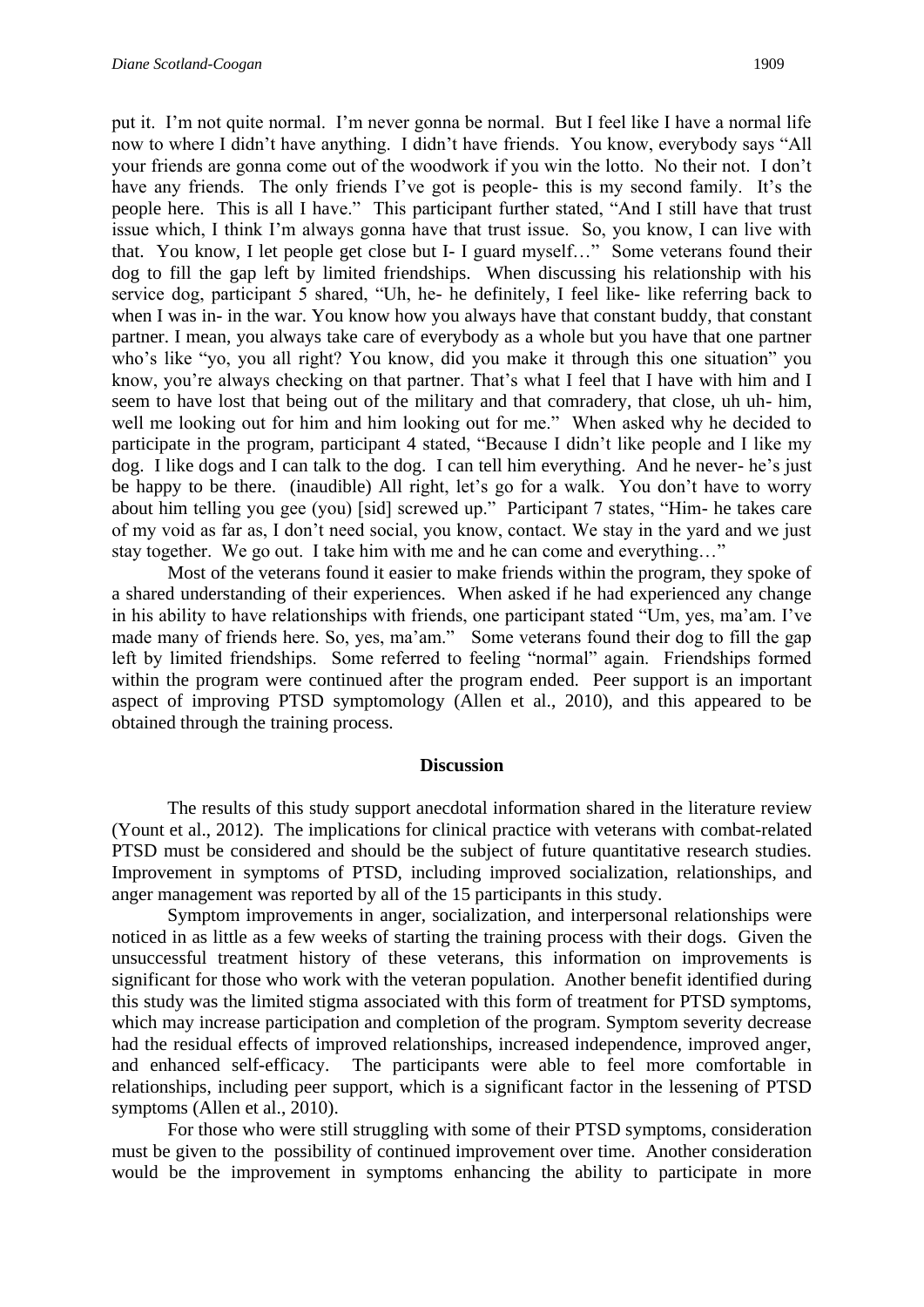put it. I'm not quite normal. I'm never gonna be normal. But I feel like I have a normal life now to where I didn't have anything. I didn't have friends. You know, everybody says "All your friends are gonna come out of the woodwork if you win the lotto. No their not. I don't have any friends. The only friends I've got is people- this is my second family. It's the people here. This is all I have." This participant further stated, "And I still have that trust issue which, I think I'm always gonna have that trust issue. So, you know, I can live with that. You know, I let people get close but I- I guard myself…" Some veterans found their dog to fill the gap left by limited friendships. When discussing his relationship with his service dog, participant 5 shared, "Uh, he- he definitely, I feel like- like referring back to when I was in- in the war. You know how you always have that constant buddy, that constant partner. I mean, you always take care of everybody as a whole but you have that one partner who's like "yo, you all right? You know, did you make it through this one situation" you know, you're always checking on that partner. That's what I feel that I have with him and I seem to have lost that being out of the military and that comradery, that close, uh uh- him, well me looking out for him and him looking out for me." When asked why he decided to participate in the program, participant 4 stated, "Because I didn't like people and I like my dog. I like dogs and I can talk to the dog. I can tell him everything. And he never- he's just be happy to be there. (inaudible) All right, let's go for a walk. You don't have to worry about him telling you gee (you) [sid] screwed up." Participant 7 states, "Him- he takes care of my void as far as, I don't need social, you know, contact. We stay in the yard and we just stay together. We go out. I take him with me and he can come and everything…"

Most of the veterans found it easier to make friends within the program, they spoke of a shared understanding of their experiences. When asked if he had experienced any change in his ability to have relationships with friends, one participant stated "Um, yes, ma'am. I've made many of friends here. So, yes, ma'am." Some veterans found their dog to fill the gap left by limited friendships. Some referred to feeling "normal" again. Friendships formed within the program were continued after the program ended. Peer support is an important aspect of improving PTSD symptomology (Allen et al., 2010), and this appeared to be obtained through the training process.

### **Discussion**

The results of this study support anecdotal information shared in the literature review (Yount et al., 2012). The implications for clinical practice with veterans with combat-related PTSD must be considered and should be the subject of future quantitative research studies. Improvement in symptoms of PTSD, including improved socialization, relationships, and anger management was reported by all of the 15 participants in this study.

Symptom improvements in anger, socialization, and interpersonal relationships were noticed in as little as a few weeks of starting the training process with their dogs. Given the unsuccessful treatment history of these veterans, this information on improvements is significant for those who work with the veteran population. Another benefit identified during this study was the limited stigma associated with this form of treatment for PTSD symptoms, which may increase participation and completion of the program. Symptom severity decrease had the residual effects of improved relationships, increased independence, improved anger, and enhanced self-efficacy. The participants were able to feel more comfortable in relationships, including peer support, which is a significant factor in the lessening of PTSD symptoms (Allen et al., 2010).

For those who were still struggling with some of their PTSD symptoms, consideration must be given to the possibility of continued improvement over time. Another consideration would be the improvement in symptoms enhancing the ability to participate in more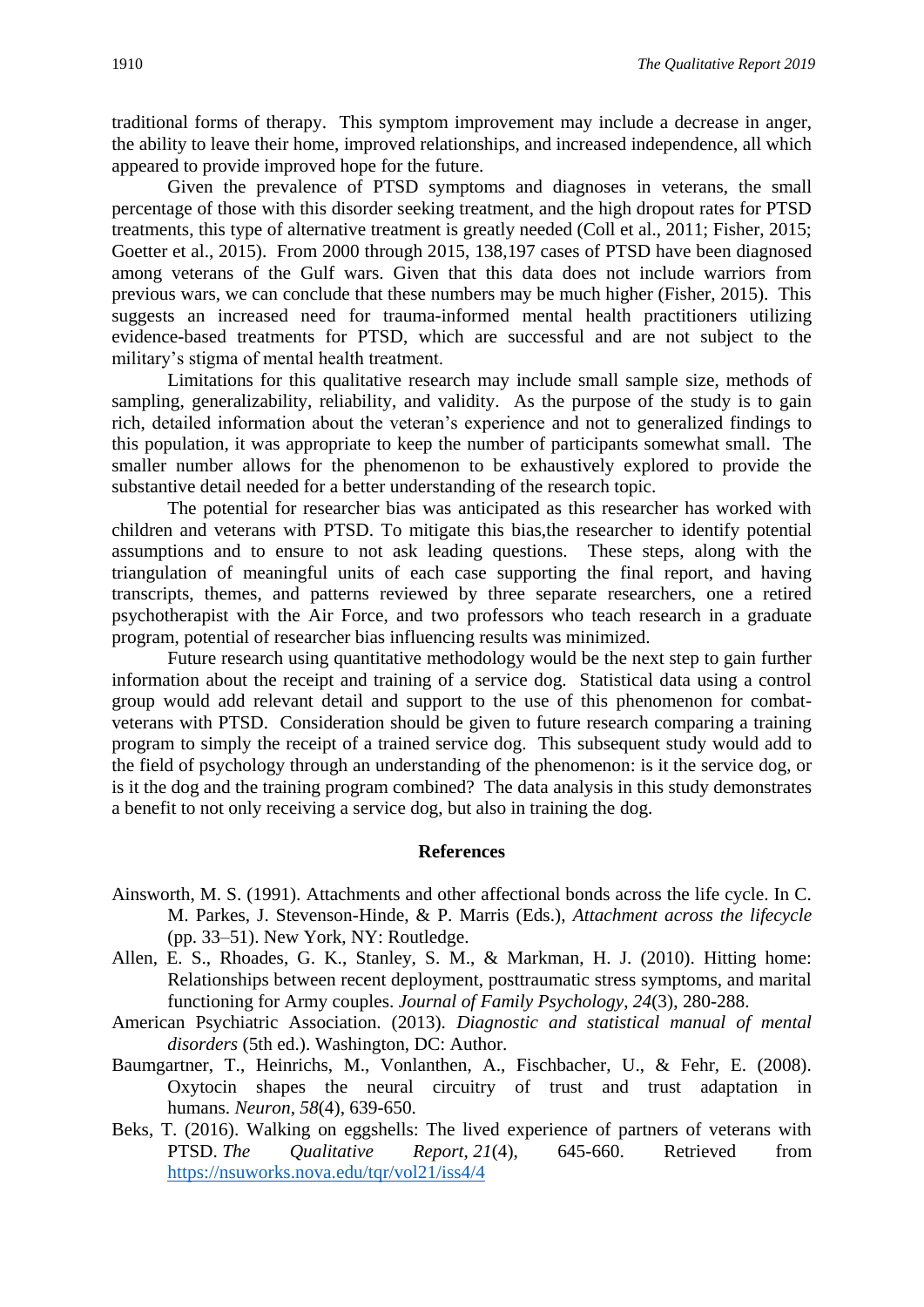traditional forms of therapy. This symptom improvement may include a decrease in anger, the ability to leave their home, improved relationships, and increased independence, all which appeared to provide improved hope for the future.

Given the prevalence of PTSD symptoms and diagnoses in veterans, the small percentage of those with this disorder seeking treatment, and the high dropout rates for PTSD treatments, this type of alternative treatment is greatly needed (Coll et al., 2011; Fisher, 2015; Goetter et al., 2015). From 2000 through 2015, 138,197 cases of PTSD have been diagnosed among veterans of the Gulf wars. Given that this data does not include warriors from previous wars, we can conclude that these numbers may be much higher (Fisher, 2015). This suggests an increased need for trauma-informed mental health practitioners utilizing evidence-based treatments for PTSD, which are successful and are not subject to the military's stigma of mental health treatment.

Limitations for this qualitative research may include small sample size, methods of sampling, generalizability, reliability, and validity. As the purpose of the study is to gain rich, detailed information about the veteran's experience and not to generalized findings to this population, it was appropriate to keep the number of participants somewhat small. The smaller number allows for the phenomenon to be exhaustively explored to provide the substantive detail needed for a better understanding of the research topic.

The potential for researcher bias was anticipated as this researcher has worked with children and veterans with PTSD. To mitigate this bias,the researcher to identify potential assumptions and to ensure to not ask leading questions. These steps, along with the triangulation of meaningful units of each case supporting the final report, and having transcripts, themes, and patterns reviewed by three separate researchers, one a retired psychotherapist with the Air Force, and two professors who teach research in a graduate program, potential of researcher bias influencing results was minimized.

Future research using quantitative methodology would be the next step to gain further information about the receipt and training of a service dog. Statistical data using a control group would add relevant detail and support to the use of this phenomenon for combatveterans with PTSD. Consideration should be given to future research comparing a training program to simply the receipt of a trained service dog. This subsequent study would add to the field of psychology through an understanding of the phenomenon: is it the service dog, or is it the dog and the training program combined? The data analysis in this study demonstrates a benefit to not only receiving a service dog, but also in training the dog.

### **References**

- Ainsworth, M. S. (1991). Attachments and other affectional bonds across the life cycle. In C. M. Parkes, J. Stevenson-Hinde, & P. Marris (Eds.), *Attachment across the lifecycle*  (pp. 33–51). New York, NY: Routledge.
- Allen, E. S., Rhoades, G. K., Stanley, S. M., & Markman, H. J. (2010). Hitting home: Relationships between recent deployment, posttraumatic stress symptoms, and marital functioning for Army couples. *Journal of Family Psychology*, *24*(3), 280-288.
- American Psychiatric Association. (2013). *Diagnostic and statistical manual of mental disorders* (5th ed.). Washington, DC: Author.
- Baumgartner, T., Heinrichs, M., Vonlanthen, A., Fischbacher, U., & Fehr, E. (2008). Oxytocin shapes the neural circuitry of trust and trust adaptation in humans. *Neuron*, *58*(4), 639-650.
- Beks, T. (2016). Walking on eggshells: The lived experience of partners of veterans with PTSD. *The Qualitative Report*, *21*(4), 645-660. Retrieved from <https://nsuworks.nova.edu/tqr/vol21/iss4/4>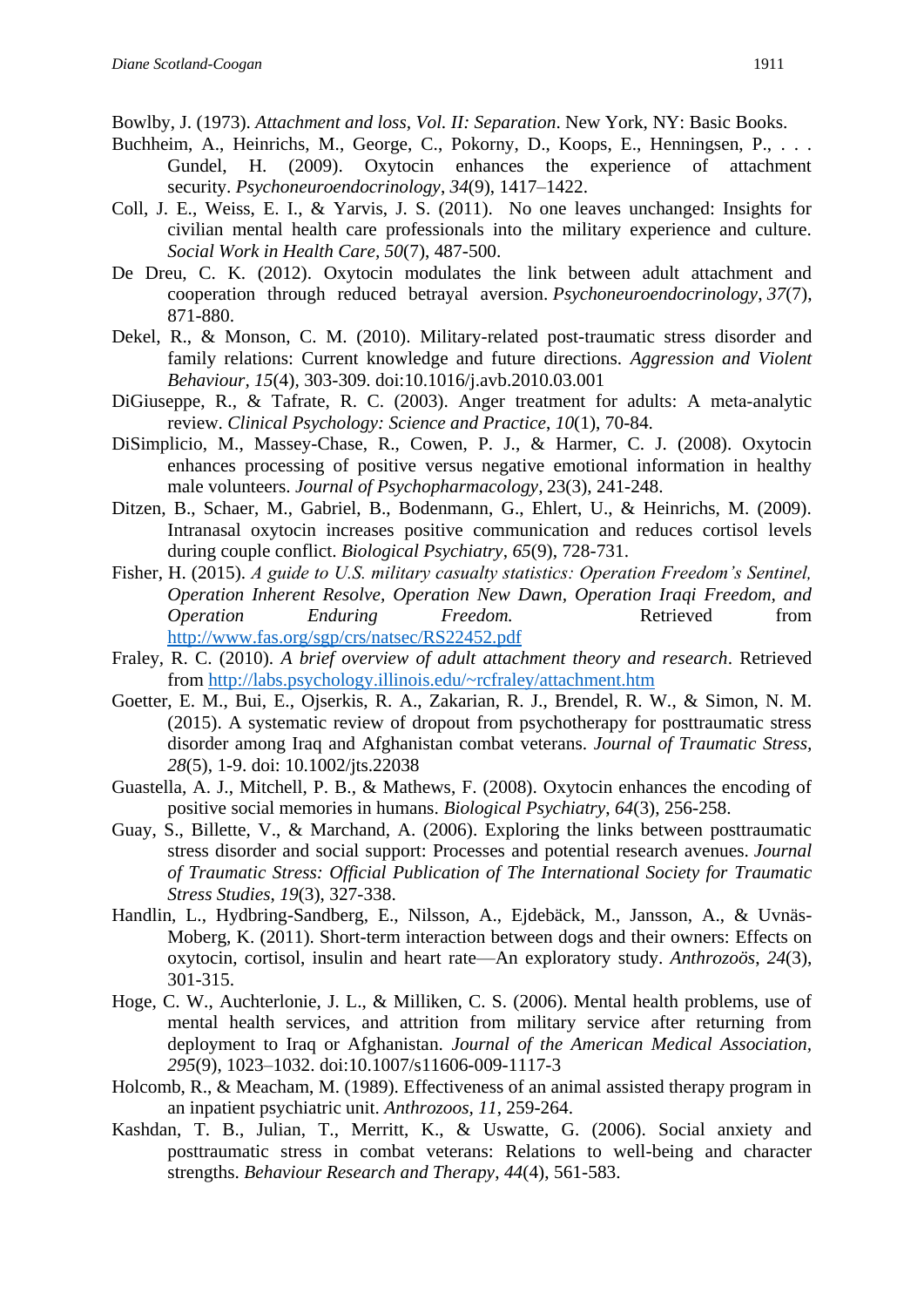Bowlby, J. (1973). *Attachment and loss, Vol. II: Separation*. New York, NY: Basic Books.

- Buchheim, A., Heinrichs, M., George, C., Pokorny, D., Koops, E., Henningsen, P., . . . Gundel, H. (2009). Oxytocin enhances the experience of attachment security. *Psychoneuroendocrinology*, *34*(9), 1417–1422.
- Coll, J. E., Weiss, E. I., & Yarvis, J. S. (2011). No one leaves unchanged: Insights for civilian mental health care professionals into the military experience and culture. *Social Work in Health Care, 50*(7), 487-500.
- De Dreu, C. K. (2012). Oxytocin modulates the link between adult attachment and cooperation through reduced betrayal aversion. *Psychoneuroendocrinology*, *37*(7), 871-880.
- Dekel, R., & Monson, C. M. (2010). Military-related post-traumatic stress disorder and family relations: Current knowledge and future directions. *Aggression and Violent Behaviour, 15*(4)*,* 303-309. doi:10.1016/j.avb.2010.03.001
- DiGiuseppe, R., & Tafrate, R. C. (2003). Anger treatment for adults: A meta-analytic review. *Clinical Psychology: Science and Practice*, *10*(1), 70-84.
- DiSimplicio, M., Massey-Chase, R., Cowen, P. J., & Harmer, C. J. (2008). Oxytocin enhances processing of positive versus negative emotional information in healthy male volunteers. *Journal of Psychopharmacology,* 23(3), 241-248.
- Ditzen, B., Schaer, M., Gabriel, B., Bodenmann, G., Ehlert, U., & Heinrichs, M. (2009). Intranasal oxytocin increases positive communication and reduces cortisol levels during couple conflict. *Biological Psychiatry*, *65*(9), 728-731.
- Fisher, H. (2015). *A guide to U.S. military casualty statistics: Operation Freedom's Sentinel, Operation Inherent Resolve, Operation New Dawn, Operation Iraqi Freedom, and Operation Enduring Freedom.* Retrieved from <http://www.fas.org/sgp/crs/natsec/RS22452.pdf>
- Fraley, R. C. (2010). *A brief overview of adult attachment theory and research*. Retrieved from<http://labs.psychology.illinois.edu/~rcfraley/attachment.htm>
- Goetter, E. M., Bui, E., Ojserkis, R. A., Zakarian, R. J., Brendel, R. W., & Simon, N. M. (2015). A systematic review of dropout from psychotherapy for posttraumatic stress disorder among Iraq and Afghanistan combat veterans. *Journal of Traumatic Stress, 28*(5), 1-9. doi: 10.1002/jts.22038
- Guastella, A. J., Mitchell, P. B., & Mathews, F. (2008). Oxytocin enhances the encoding of positive social memories in humans. *Biological Psychiatry*, *64*(3), 256-258.
- Guay, S., Billette, V., & Marchand, A. (2006). Exploring the links between posttraumatic stress disorder and social support: Processes and potential research avenues. *Journal of Traumatic Stress: Official Publication of The International Society for Traumatic Stress Studies*, *19*(3), 327-338.
- Handlin, L., Hydbring-Sandberg, E., Nilsson, A., Ejdebäck, M., Jansson, A., & Uvnäs-Moberg, K. (2011). Short-term interaction between dogs and their owners: Effects on oxytocin, cortisol, insulin and heart rate—An exploratory study. *Anthrozoös*, *24*(3), 301-315.
- Hoge, C. W., Auchterlonie, J. L., & Milliken, C. S. (2006). Mental health problems, use of mental health services, and attrition from military service after returning from deployment to Iraq or Afghanistan. *Journal of the American Medical Association, 295*(9), 1023–1032. doi:10.1007/s11606-009-1117-3
- Holcomb, R., & Meacham, M. (1989). Effectiveness of an animal assisted therapy program in an inpatient psychiatric unit. *Anthrozoos, 11*, 259-264.
- Kashdan, T. B., Julian, T., Merritt, K., & Uswatte, G. (2006). Social anxiety and posttraumatic stress in combat veterans: Relations to well-being and character strengths. *Behaviour Research and Therapy*, *44*(4), 561-583.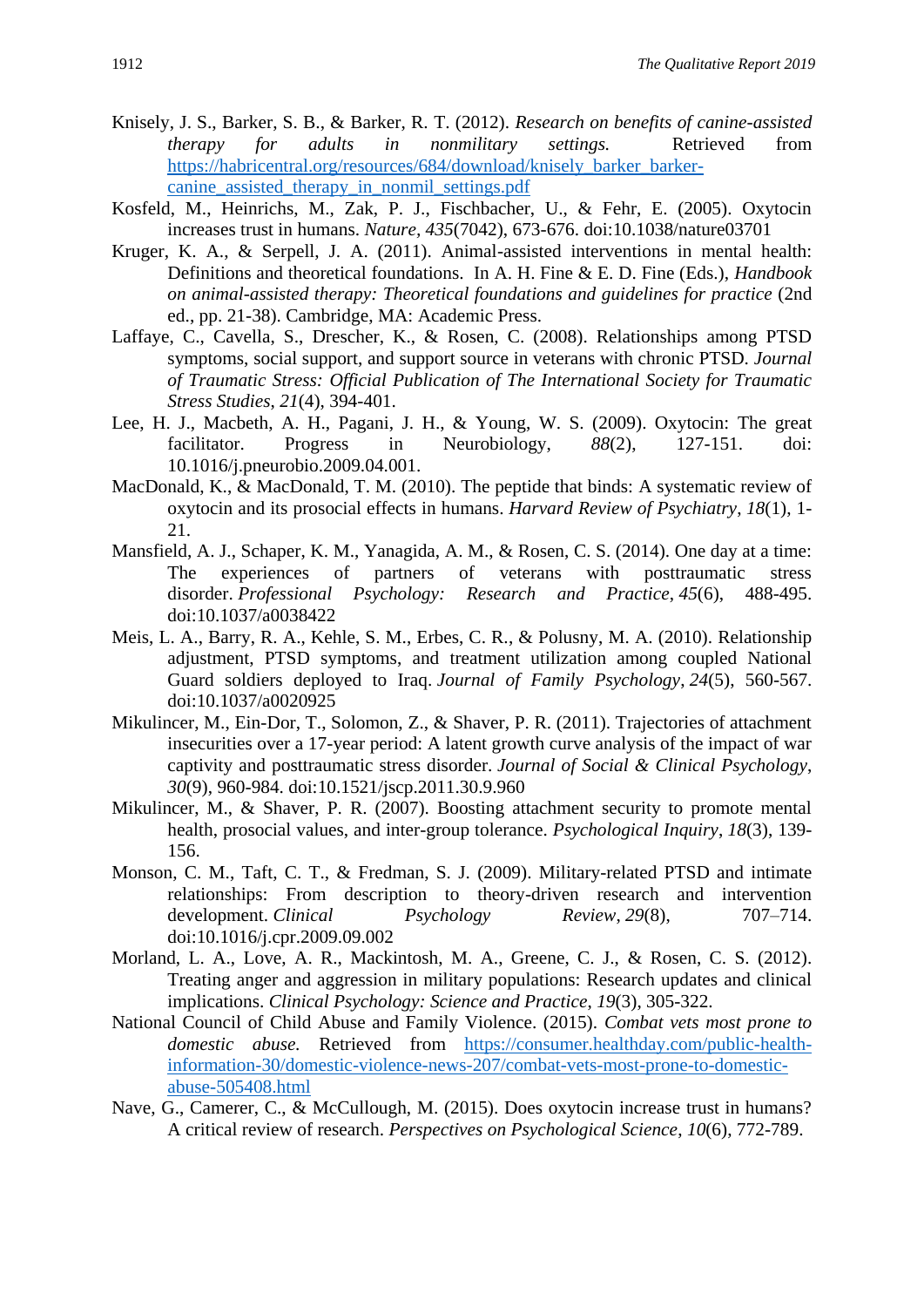- Knisely, J. S., Barker, S. B., & Barker, R. T. (2012). *Research on benefits of canine-assisted therapy for adults in nonmilitary settings.* Retrieved from [https://habricentral.org/resources/684/download/knisely\\_barker\\_barker](https://habricentral.org/resources/684/download/knisely_barker_barker-canine_assisted_therapy_in_nonmil_settings.pdf)[canine\\_assisted\\_therapy\\_in\\_nonmil\\_settings.pdf](https://habricentral.org/resources/684/download/knisely_barker_barker-canine_assisted_therapy_in_nonmil_settings.pdf)
- Kosfeld, M., Heinrichs, M., Zak, P. J., Fischbacher, U., & Fehr, E. (2005). Oxytocin increases trust in humans. *Nature, 435*(7042), 673-676. doi:10.1038/nature03701
- Kruger, K. A., & Serpell, J. A. (2011). Animal-assisted interventions in mental health: Definitions and theoretical foundations. In A. H. Fine & E. D. Fine (Eds.), *Handbook on animal-assisted therapy: Theoretical foundations and guidelines for practice* (2nd ed., pp. 21-38). Cambridge, MA: Academic Press.
- Laffaye, C., Cavella, S., Drescher, K., & Rosen, C. (2008). Relationships among PTSD symptoms, social support, and support source in veterans with chronic PTSD. *Journal of Traumatic Stress: Official Publication of The International Society for Traumatic Stress Studies*, *21*(4), 394-401.
- Lee, H. J., Macbeth, A. H., Pagani, J. H., & Young, W. S. (2009). Oxytocin: The great facilitator. Progress in Neurobiology, *88*(2), 127-151. doi: 10.1016/j.pneurobio.2009.04.001.
- MacDonald, K., & MacDonald, T. M. (2010). The peptide that binds: A systematic review of oxytocin and its prosocial effects in humans. *Harvard Review of Psychiatry*, *18*(1), 1- 21.
- Mansfield, A. J., Schaper, K. M., Yanagida, A. M., & Rosen, C. S. (2014). One day at a time: The experiences of partners of veterans with posttraumatic stress disorder. *Professional Psychology: Research and Practice*, *45*(6), 488-495. doi:10.1037/a0038422
- Meis, L. A., Barry, R. A., Kehle, S. M., Erbes, C. R., & Polusny, M. A. (2010). Relationship adjustment, PTSD symptoms, and treatment utilization among coupled National Guard soldiers deployed to Iraq. *Journal of Family Psychology*, *24*(5), 560-567. doi:10.1037/a0020925
- Mikulincer, M., Ein-Dor, T., Solomon, Z., & Shaver, P. R. (2011). Trajectories of attachment insecurities over a 17-year period: A latent growth curve analysis of the impact of war captivity and posttraumatic stress disorder. *Journal of Social & Clinical Psychology*, *30*(9), 960-984. doi:10.1521/jscp.2011.30.9.960
- Mikulincer, M., & Shaver, P. R. (2007). Boosting attachment security to promote mental health, prosocial values, and inter-group tolerance. *Psychological Inquiry*, *18*(3), 139- 156.
- Monson, C. M., Taft, C. T., & Fredman, S. J. (2009). Military-related PTSD and intimate relationships: From description to theory-driven research and intervention development. *Clinical Psychology Review*, *29*(8), 707–714. doi:10.1016/j.cpr.2009.09.002
- Morland, L. A., Love, A. R., Mackintosh, M. A., Greene, C. J., & Rosen, C. S. (2012). Treating anger and aggression in military populations: Research updates and clinical implications. *Clinical Psychology: Science and Practice*, *19*(3), 305-322.
- National Council of Child Abuse and Family Violence. (2015). *Combat vets most prone to domestic abuse.* Retrieved from [https://consumer.healthday.com/public-health](https://consumer.healthday.com/public-health-information-30/domestic-violence-news-207/combat-vets-most-prone-to-domestic-abuse-505408.html)[information-30/domestic-violence-news-207/combat-vets-most-prone-to-domestic](https://consumer.healthday.com/public-health-information-30/domestic-violence-news-207/combat-vets-most-prone-to-domestic-abuse-505408.html)[abuse-505408.html](https://consumer.healthday.com/public-health-information-30/domestic-violence-news-207/combat-vets-most-prone-to-domestic-abuse-505408.html)
- Nave, G., Camerer, C., & McCullough, M. (2015). Does oxytocin increase trust in humans? A critical review of research. *Perspectives on Psychological Science*, *10*(6), 772-789.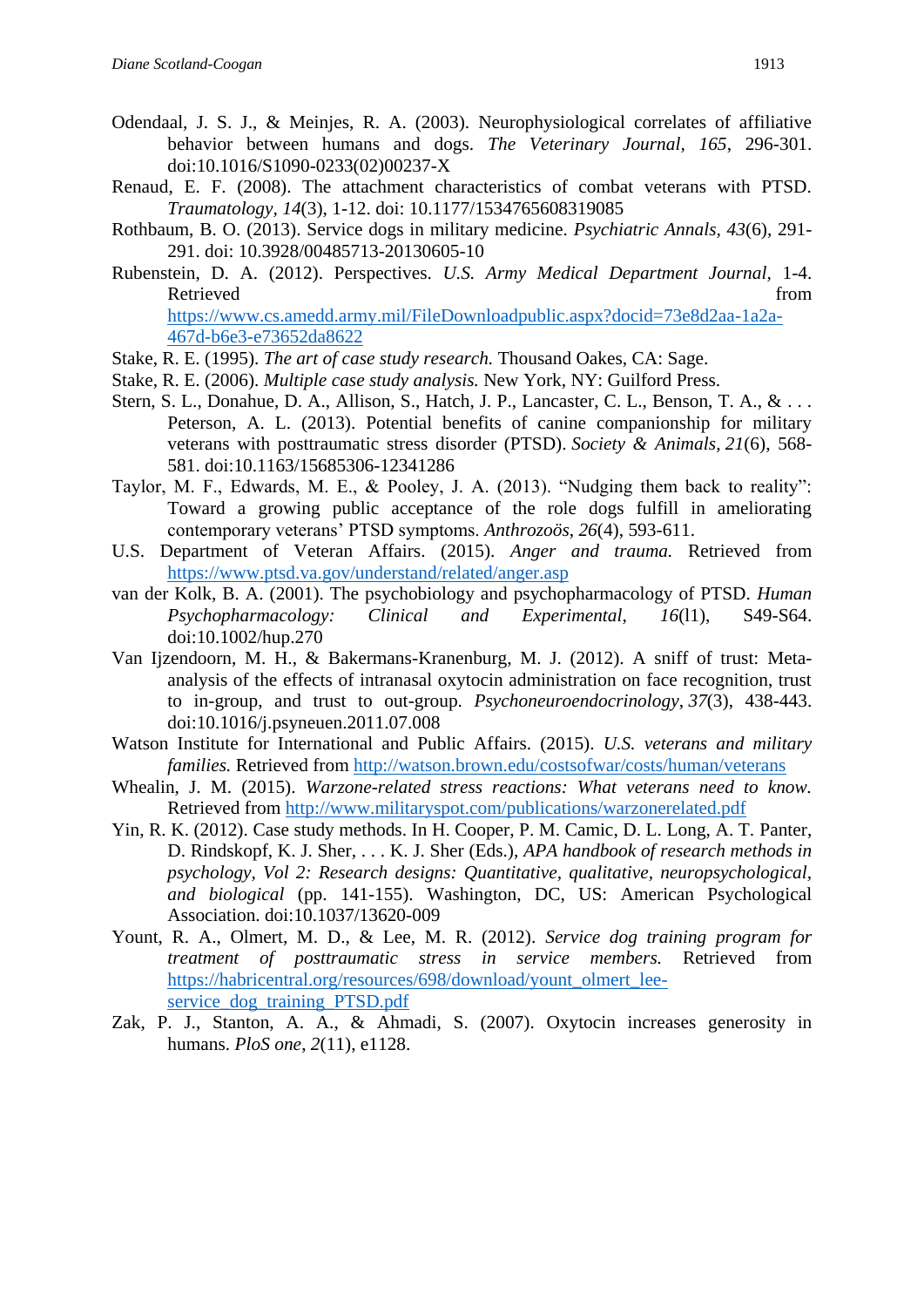- Odendaal, J. S. J., & Meinjes, R. A. (2003). Neurophysiological correlates of affiliative behavior between humans and dogs. *The Veterinary Journal, 165*, 296-301. doi:10.1016/S1090-0233(02)00237-X
- Renaud, E. F. (2008). The attachment characteristics of combat veterans with PTSD. *Traumatology, 14*(3), 1-12. doi: 10.1177/1534765608319085
- Rothbaum, B. O. (2013). Service dogs in military medicine. *Psychiatric Annals, 43*(6), 291- 291. doi: 10.3928/00485713-20130605-10
- Rubenstein, D. A. (2012). Perspectives. *U.S. Army Medical Department Journal,* 1-4. Retrieved from the state of the state of the state of the state of the state of the state of the state of the state of the state of the state of the state of the state of the state of the state of the state of the state of [https://www.cs.amedd.army.mil/FileDownloadpublic.aspx?docid=73e8d2aa-1a2a-](https://www.cs.amedd.army.mil/FileDownloadpublic.aspx?docid=73e8d2aa-1a2a-467d-b6e3-e73652da8622)[467d-b6e3-e73652da8622](https://www.cs.amedd.army.mil/FileDownloadpublic.aspx?docid=73e8d2aa-1a2a-467d-b6e3-e73652da8622)
- Stake, R. E. (1995). *The art of case study research.* Thousand Oakes, CA: Sage.
- Stake, R. E. (2006). *Multiple case study analysis.* New York, NY: Guilford Press.
- Stern, S. L., Donahue, D. A., Allison, S., Hatch, J. P., Lancaster, C. L., Benson, T. A., & . . . Peterson, A. L. (2013). Potential benefits of canine companionship for military veterans with posttraumatic stress disorder (PTSD). *Society & Animals*, *21*(6), 568- 581. doi:10.1163/15685306-12341286
- Taylor, M. F., Edwards, M. E., & Pooley, J. A. (2013). "Nudging them back to reality": Toward a growing public acceptance of the role dogs fulfill in ameliorating contemporary veterans' PTSD symptoms. *Anthrozoös*, *26*(4), 593-611.
- U.S. Department of Veteran Affairs. (2015). *Anger and trauma.* Retrieved from <https://www.ptsd.va.gov/understand/related/anger.asp>
- van der Kolk, B. A. (2001). The psychobiology and psychopharmacology of PTSD. *Human Psychopharmacology: Clinical and Experimental*, *16*(l1), S49-S64. doi:10.1002/hup.270
- Van Ijzendoorn, M. H., & Bakermans-Kranenburg, M. J. (2012). A sniff of trust: Metaanalysis of the effects of intranasal oxytocin administration on face recognition, trust to in-group, and trust to out-group. *Psychoneuroendocrinology*, *37*(3), 438-443. doi:10.1016/j.psyneuen.2011.07.008
- Watson Institute for International and Public Affairs. (2015). *U.S. veterans and military families.* Retrieved from<http://watson.brown.edu/costsofwar/costs/human/veterans>
- Whealin, J. M. (2015). *Warzone-related stress reactions: What veterans need to know.*  Retrieved from <http://www.militaryspot.com/publications/warzonerelated.pdf>
- Yin, R. K. (2012). Case study methods. In H. Cooper, P. M. Camic, D. L. Long, A. T. Panter, D. Rindskopf, K. J. Sher, . . . K. J. Sher (Eds.), *APA handbook of research methods in psychology, Vol 2: Research designs: Quantitative, qualitative, neuropsychological, and biological* (pp. 141-155). Washington, DC, US: American Psychological Association. doi:10.1037/13620-009
- Yount, R. A., Olmert, M. D., & Lee, M. R. (2012). *Service dog training program for treatment of posttraumatic stress in service members.* Retrieved from [https://habricentral.org/resources/698/download/yount\\_olmert\\_lee](https://habricentral.org/resources/698/download/yount_olmert_lee-service_dog_training_PTSD.pdf)[service\\_dog\\_training\\_PTSD.pdf](https://habricentral.org/resources/698/download/yount_olmert_lee-service_dog_training_PTSD.pdf)
- Zak, P. J., Stanton, A. A., & Ahmadi, S. (2007). Oxytocin increases generosity in humans. *PloS one*, *2*(11), e1128.